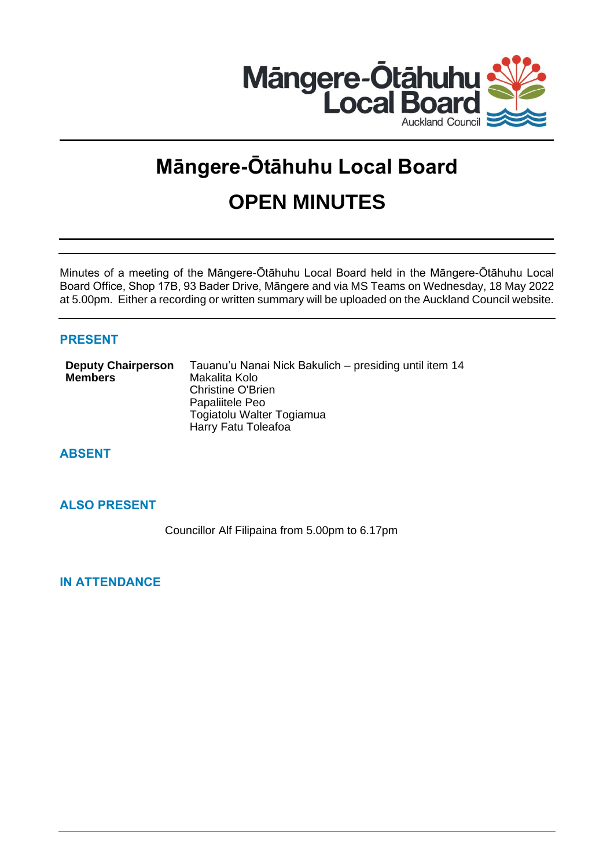

# **Māngere-Ōtāhuhu Local Board OPEN MINUTES**

Minutes of a meeting of the Māngere-Ōtāhuhu Local Board held in the Māngere-Ōtāhuhu Local Board Office, Shop 17B, 93 Bader Drive, Māngere and via MS Teams on Wednesday, 18 May 2022 at 5.00pm. Either a recording or written summary will be uploaded on the Auckland Council website.

# **PRESENT**

| <b>Deputy Chairperson</b> | Tauanu'u Nanai Nick Bakulich – presiding until item 14 |
|---------------------------|--------------------------------------------------------|
| <b>Members</b>            | Makalita Kolo                                          |
|                           | <b>Christine O'Brien</b>                               |
|                           | Papaliitele Peo                                        |
|                           | Togiatolu Walter Togiamua                              |
|                           | Harry Fatu Toleafoa                                    |

**ABSENT**

# **ALSO PRESENT**

Councillor Alf Filipaina from 5.00pm to 6.17pm

**IN ATTENDANCE**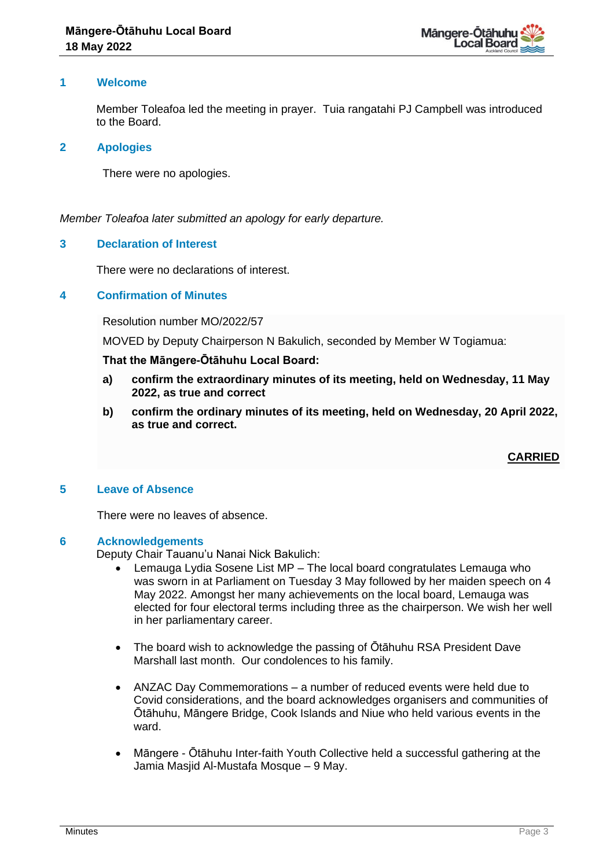

# **1 Welcome**

Member Toleafoa led the meeting in prayer. Tuia rangatahi PJ Campbell was introduced to the Board.

#### **2 Apologies**

There were no apologies.

## *Member Toleafoa later submitted an apology for early departure.*

## **3 Declaration of Interest**

There were no declarations of interest.

## **4 Confirmation of Minutes**

Resolution number MO/2022/57

MOVED by Deputy Chairperson N Bakulich, seconded by Member W Togiamua:

#### **That the Māngere-Ōtāhuhu Local Board:**

- **a) confirm the extraordinary minutes of its meeting, held on Wednesday, 11 May 2022, as true and correct**
- **b) confirm the ordinary minutes of its meeting, held on Wednesday, 20 April 2022, as true and correct.**

# **CARRIED**

#### **5 Leave of Absence**

There were no leaves of absence.

#### **6 Acknowledgements**

Deputy Chair Tauanu'u Nanai Nick Bakulich:

- Lemauga Lydia Sosene List MP The local board congratulates Lemauga who was sworn in at Parliament on Tuesday 3 May followed by her maiden speech on 4 May 2022. Amongst her many achievements on the local board, Lemauga was elected for four electoral terms including three as the chairperson. We wish her well in her parliamentary career.
- The board wish to acknowledge the passing of Ōtāhuhu RSA President Dave Marshall last month. Our condolences to his family.
- ANZAC Day Commemorations a number of reduced events were held due to Covid considerations, and the board acknowledges organisers and communities of Ōtāhuhu, Māngere Bridge, Cook Islands and Niue who held various events in the ward.
- Māngere Ōtāhuhu Inter-faith Youth Collective held a successful gathering at the Jamia Masjid Al-Mustafa Mosque – 9 May.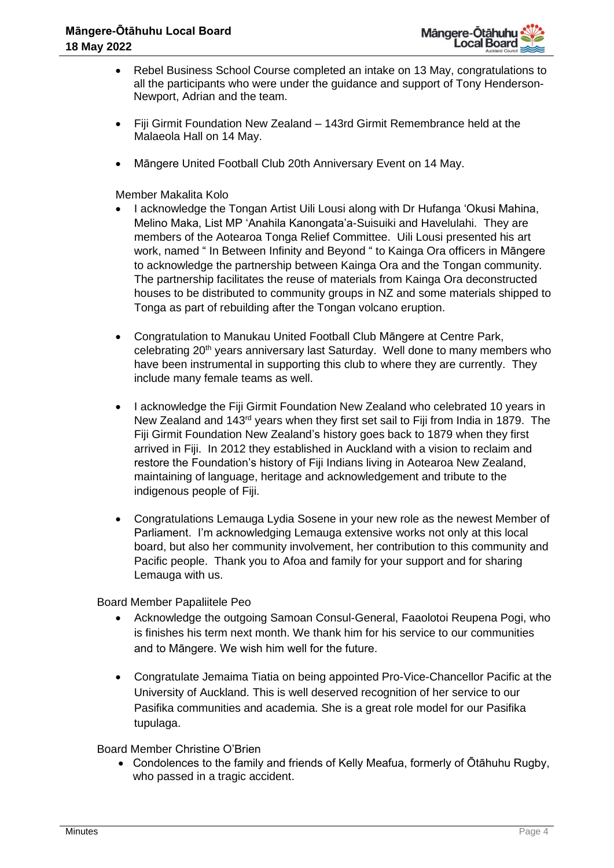

- Rebel Business School Course completed an intake on 13 May, congratulations to all the participants who were under the guidance and support of Tony Henderson-Newport, Adrian and the team.
- Fiji Girmit Foundation New Zealand 143rd Girmit Remembrance held at the Malaeola Hall on 14 May.
- Māngere United Football Club 20th Anniversary Event on 14 May.

Member Makalita Kolo

- I acknowledge the Tongan Artist Uili Lousi along with Dr Hufanga 'Okusi Mahina, Melino Maka, List MP 'Anahila Kanongata'a-Suisuiki and Havelulahi. They are members of the Aotearoa Tonga Relief Committee. Uili Lousi presented his art work, named " In Between Infinity and Beyond " to Kainga Ora officers in Māngere to acknowledge the partnership between Kainga Ora and the Tongan community. The partnership facilitates the reuse of materials from Kainga Ora deconstructed houses to be distributed to community groups in NZ and some materials shipped to Tonga as part of rebuilding after the Tongan volcano eruption.
- Congratulation to Manukau United Football Club Māngere at Centre Park, celebrating 20<sup>th</sup> years anniversary last Saturday. Well done to many members who have been instrumental in supporting this club to where they are currently. They include many female teams as well.
- I acknowledge the Fiji Girmit Foundation New Zealand who celebrated 10 years in New Zealand and 143<sup>rd</sup> years when they first set sail to Fiji from India in 1879. The Fiji Girmit Foundation New Zealand's history goes back to 1879 when they first arrived in Fiji. In 2012 they established in Auckland with a vision to reclaim and restore the Foundation's history of Fiji Indians living in Aotearoa New Zealand, maintaining of language, heritage and acknowledgement and tribute to the indigenous people of Fiji.
- Congratulations Lemauga Lydia Sosene in your new role as the newest Member of Parliament. I'm acknowledging Lemauga extensive works not only at this local board, but also her community involvement, her contribution to this community and Pacific people. Thank you to Afoa and family for your support and for sharing Lemauga with us.

Board Member Papaliitele Peo

- Acknowledge the outgoing Samoan Consul-General, Faaolotoi Reupena Pogi, who is finishes his term next month. We thank him for his service to our communities and to Māngere. We wish him well for the future.
- Congratulate Jemaima Tiatia on being appointed Pro-Vice-Chancellor Pacific at the University of Auckland. This is well deserved recognition of her service to our Pasifika communities and academia. She is a great role model for our Pasifika tupulaga.

Board Member Christine O'Brien

• Condolences to the family and friends of Kelly Meafua, formerly of Ōtāhuhu Rugby, who passed in a tragic accident.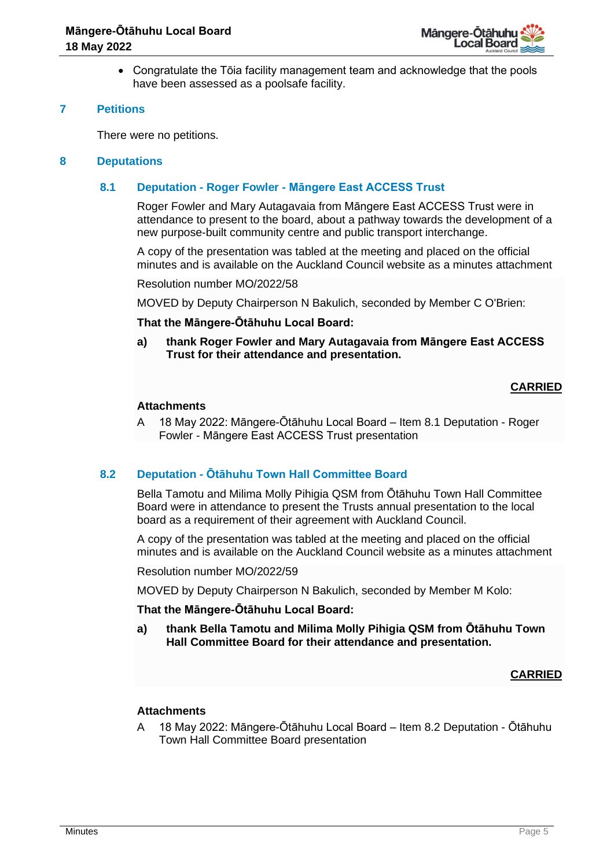

• Congratulate the Tōia facility management team and acknowledge that the pools have been assessed as a poolsafe facility.

# **7 Petitions**

There were no petitions.

## **8 Deputations**

# **8.1 Deputation - Roger Fowler - Māngere East ACCESS Trust**

Roger Fowler and Mary Autagavaia from Māngere East ACCESS Trust were in attendance to present to the board, about a pathway towards the development of a new purpose-built community centre and public transport interchange.

A copy of the presentation was tabled at the meeting and placed on the official minutes and is available on the Auckland Council website as a minutes attachment

Resolution number MO/2022/58

MOVED by Deputy Chairperson N Bakulich, seconded by Member C O'Brien:

#### **That the Māngere-Ōtāhuhu Local Board:**

**a) thank Roger Fowler and Mary Autagavaia from Māngere East ACCESS Trust for their attendance and presentation.**

# **CARRIED**

## **Attachments**

A 18 May 2022: Māngere-Ōtāhuhu Local Board – Item 8.1 Deputation - Roger Fowler - Māngere East ACCESS Trust presentation

# **8.2 Deputation - Ōtāhuhu Town Hall Committee Board**

Bella Tamotu and Milima Molly Pihigia QSM from Ōtāhuhu Town Hall Committee Board were in attendance to present the Trusts annual presentation to the local board as a requirement of their agreement with Auckland Council.

A copy of the presentation was tabled at the meeting and placed on the official minutes and is available on the Auckland Council website as a minutes attachment

Resolution number MO/2022/59

MOVED by Deputy Chairperson N Bakulich, seconded by Member M Kolo:

#### **That the Māngere-Ōtāhuhu Local Board:**

**a) thank Bella Tamotu and Milima Molly Pihigia QSM from Ōtāhuhu Town Hall Committee Board for their attendance and presentation.**

#### **CARRIED**

#### **Attachments**

A 18 May 2022: Māngere-Ōtāhuhu Local Board – Item 8.2 Deputation - Ōtāhuhu Town Hall Committee Board presentation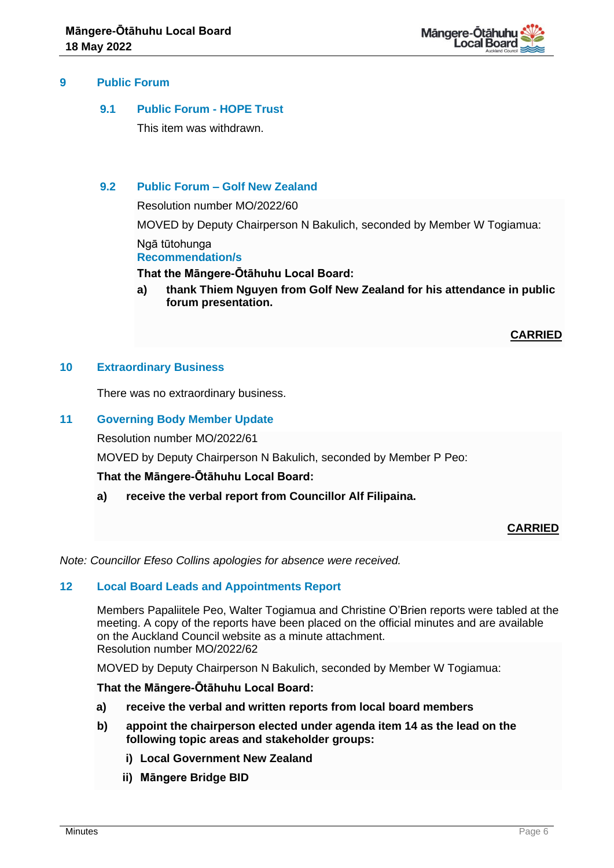

# **9 Public Forum**

# **9.1 Public Forum - HOPE Trust**

This item was withdrawn.

## **9.2 Public Forum – Golf New Zealand**

Resolution number MO/2022/60 MOVED by Deputy Chairperson N Bakulich, seconded by Member W Togiamua: Ngā tūtohunga **Recommendation/s**

#### **That the Māngere-Ōtāhuhu Local Board:**

**a) thank Thiem Nguyen from Golf New Zealand for his attendance in public forum presentation.**

**CARRIED**

## **10 Extraordinary Business**

There was no extraordinary business.

## **11 Governing Body Member Update**

Resolution number MO/2022/61

MOVED by Deputy Chairperson N Bakulich, seconded by Member P Peo:

#### **That the Māngere-Ōtāhuhu Local Board:**

**a) receive the verbal report from Councillor Alf Filipaina.** 

#### **CARRIED**

*Note: Councillor Efeso Collins apologies for absence were received.*

#### **12 Local Board Leads and Appointments Report**

Members Papaliitele Peo, Walter Togiamua and Christine O'Brien reports were tabled at the meeting. A copy of the reports have been placed on the official minutes and are available on the Auckland Council website as a minute attachment. Resolution number MO/2022/62

MOVED by Deputy Chairperson N Bakulich, seconded by Member W Togiamua:

#### **That the Māngere-Ōtāhuhu Local Board:**

- **a) receive the verbal and written reports from local board members**
- **b) appoint the chairperson elected under agenda item 14 as the lead on the following topic areas and stakeholder groups:**
	- **i) Local Government New Zealand**
	- **ii) Māngere Bridge BID**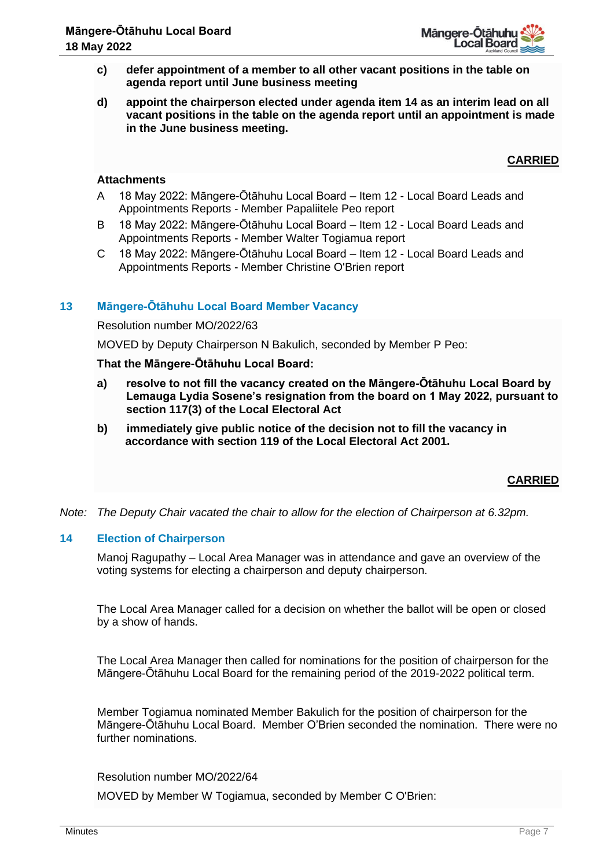- **c) defer appointment of a member to all other vacant positions in the table on agenda report until June business meeting**
- **d) appoint the chairperson elected under agenda item 14 as an interim lead on all vacant positions in the table on the agenda report until an appointment is made in the June business meeting.**

**CARRIED**

# **Attachments**

- A 18 May 2022: Māngere-Ōtāhuhu Local Board Item 12 Local Board Leads and Appointments Reports - Member Papaliitele Peo report
- B 18 May 2022: Māngere-Ōtāhuhu Local Board Item 12 Local Board Leads and Appointments Reports - Member Walter Togiamua report
- C 18 May 2022: Māngere-Ōtāhuhu Local Board Item 12 Local Board Leads and Appointments Reports - Member Christine O'Brien report

# **13 Māngere-Ōtāhuhu Local Board Member Vacancy**

Resolution number MO/2022/63

MOVED by Deputy Chairperson N Bakulich, seconded by Member P Peo:

## **That the Māngere-Ōtāhuhu Local Board:**

- **a) resolve to not fill the vacancy created on the Māngere-Ōtāhuhu Local Board by Lemauga Lydia Sosene's resignation from the board on 1 May 2022, pursuant to section 117(3) of the Local Electoral Act**
- **b) immediately give public notice of the decision not to fill the vacancy in accordance with section 119 of the Local Electoral Act 2001.**

# **CARRIED**

*Note: The Deputy Chair vacated the chair to allow for the election of Chairperson at 6.32pm.*

#### **14 Election of Chairperson**

Manoj Ragupathy – Local Area Manager was in attendance and gave an overview of the voting systems for electing a chairperson and deputy chairperson.

The Local Area Manager called for a decision on whether the ballot will be open or closed by a show of hands.

The Local Area Manager then called for nominations for the position of chairperson for the Māngere-Ōtāhuhu Local Board for the remaining period of the 2019-2022 political term.

Member Togiamua nominated Member Bakulich for the position of chairperson for the Māngere-Ōtāhuhu Local Board. Member O'Brien seconded the nomination. There were no further nominations.

Resolution number MO/2022/64

MOVED by Member W Togiamua, seconded by Member C O'Brien: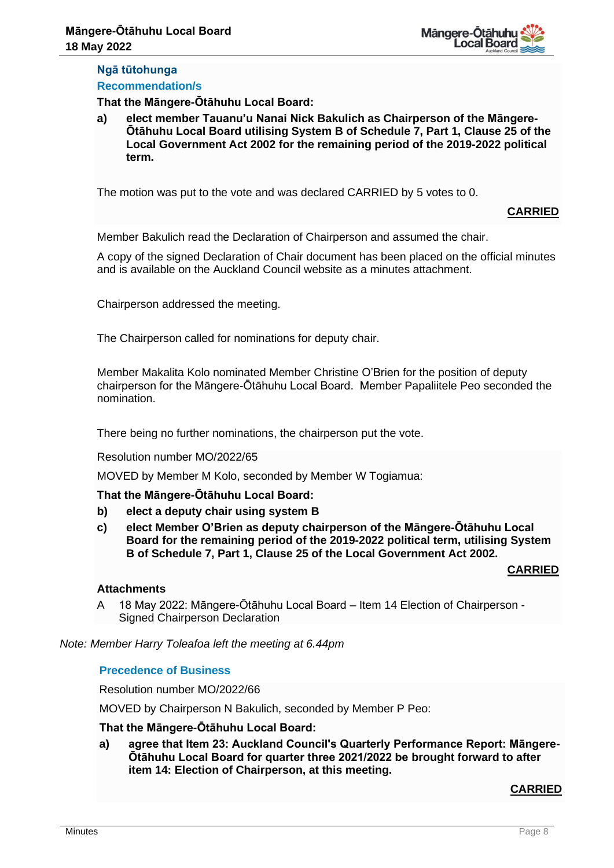# **Ngā tūtohunga Recommendation/s**

**That the Māngere-Ōtāhuhu Local Board:**

**a) elect member Tauanu'u Nanai Nick Bakulich as Chairperson of the Māngere-Ōtāhuhu Local Board utilising System B of Schedule 7, Part 1, Clause 25 of the Local Government Act 2002 for the remaining period of the 2019-2022 political term.**

The motion was put to the vote and was declared CARRIED by 5 votes to 0.

# **CARRIED**

Member Bakulich read the Declaration of Chairperson and assumed the chair.

A copy of the signed Declaration of Chair document has been placed on the official minutes and is available on the Auckland Council website as a minutes attachment.

Chairperson addressed the meeting.

The Chairperson called for nominations for deputy chair.

Member Makalita Kolo nominated Member Christine O'Brien for the position of deputy chairperson for the Māngere-Ōtāhuhu Local Board. Member Papaliitele Peo seconded the nomination.

There being no further nominations, the chairperson put the vote.

#### Resolution number MO/2022/65

MOVED by Member M Kolo, seconded by Member W Togiamua:

# **That the Māngere-Ōtāhuhu Local Board:**

- **b) elect a deputy chair using system B**
- **c) elect Member O'Brien as deputy chairperson of the Māngere-Ōtāhuhu Local Board for the remaining period of the 2019-2022 political term, utilising System B of Schedule 7, Part 1, Clause 25 of the Local Government Act 2002.**

# **CARRIED**

# **Attachments**

A 18 May 2022: Māngere-Ōtāhuhu Local Board – Item 14 Election of Chairperson - Signed Chairperson Declaration

*Note: Member Harry Toleafoa left the meeting at 6.44pm*

# **Precedence of Business**

Resolution number MO/2022/66

MOVED by Chairperson N Bakulich, seconded by Member P Peo:

# **That the Māngere-Ōtāhuhu Local Board:**

**a) agree that Item 23: Auckland Council's Quarterly Performance Report: Māngere-Ōtāhuhu Local Board for quarter three 2021/2022 be brought forward to after item 14: Election of Chairperson, at this meeting.**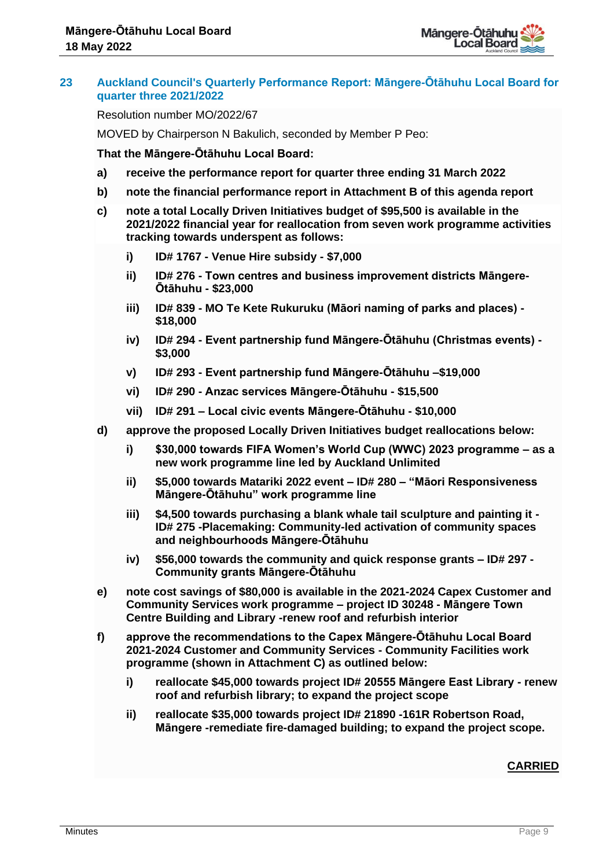

# **23 Auckland Council's Quarterly Performance Report: Māngere-Ōtāhuhu Local Board for quarter three 2021/2022**

Resolution number MO/2022/67

MOVED by Chairperson N Bakulich, seconded by Member P Peo:

**That the Māngere-Ōtāhuhu Local Board:**

- **a) receive the performance report for quarter three ending 31 March 2022**
- **b) note the financial performance report in Attachment B of this agenda report**
- **c) note a total Locally Driven Initiatives budget of \$95,500 is available in the 2021/2022 financial year for reallocation from seven work programme activities tracking towards underspent as follows:**
	- **i) ID# 1767 - Venue Hire subsidy - \$7,000**
	- **ii) ID# 276 - Town centres and business improvement districts Māngere-Ōtāhuhu - \$23,000**
	- **iii) ID# 839 - MO Te Kete Rukuruku (Māori naming of parks and places) - \$18,000**
	- **iv) ID# 294 - Event partnership fund Māngere-Ōtāhuhu (Christmas events) - \$3,000**
	- **v) ID# 293 - Event partnership fund Māngere-Ōtāhuhu –\$19,000**
	- **vi) ID# 290 - Anzac services Māngere-Ōtāhuhu - \$15,500**
	- **vii) ID# 291 – Local civic events Māngere-Ōtāhuhu - \$10,000**
- **d) approve the proposed Locally Driven Initiatives budget reallocations below:**
	- **i) \$30,000 towards FIFA Women's World Cup (WWC) 2023 programme – as a new work programme line led by Auckland Unlimited**
	- **ii) \$5,000 towards Matariki 2022 event – ID# 280 – "Māori Responsiveness Māngere-Ōtāhuhu" work programme line**
	- **iii) \$4,500 towards purchasing a blank whale tail sculpture and painting it - ID# 275 -Placemaking: Community-led activation of community spaces and neighbourhoods Māngere-Ōtāhuhu**
	- **iv) \$56,000 towards the community and quick response grants – ID# 297 - Community grants Māngere-Ōtāhuhu**
- **e) note cost savings of \$80,000 is available in the 2021-2024 Capex Customer and Community Services work programme – project ID 30248 - Māngere Town Centre Building and Library -renew roof and refurbish interior**
- **f) approve the recommendations to the Capex Māngere-Ōtāhuhu Local Board 2021-2024 Customer and Community Services - Community Facilities work programme (shown in Attachment C) as outlined below:**
	- **i) reallocate \$45,000 towards project ID# 20555 Māngere East Library - renew roof and refurbish library; to expand the project scope**
	- **ii) reallocate \$35,000 towards project ID# 21890 -161R Robertson Road, Māngere -remediate fire-damaged building; to expand the project scope.**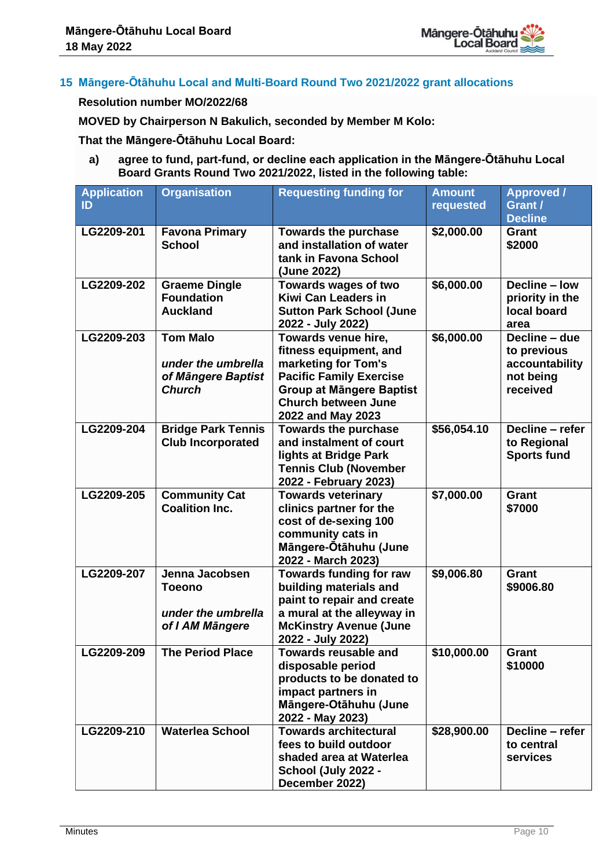

# **15 Māngere-Ōtāhuhu Local and Multi-Board Round Two 2021/2022 grant allocations**

# **Resolution number MO/2022/68**

**MOVED by Chairperson N Bakulich, seconded by Member M Kolo:** 

**That the Māngere-Ōtāhuhu Local Board:**

**a) agree to fund, part-fund, or decline each application in the Māngere-Ōtāhuhu Local Board Grants Round Two 2021/2022, listed in the following table:**

| <b>Application</b> | <b>Organisation</b>                    | <b>Requesting funding for</b>                               | <b>Amount</b> | <b>Approved /</b>                 |
|--------------------|----------------------------------------|-------------------------------------------------------------|---------------|-----------------------------------|
| ID                 |                                        |                                                             | requested     | Grant /                           |
|                    |                                        |                                                             |               | <b>Decline</b>                    |
| LG2209-201         | <b>Favona Primary</b><br><b>School</b> | <b>Towards the purchase</b><br>and installation of water    | \$2,000.00    | Grant<br>\$2000                   |
|                    |                                        | tank in Favona School                                       |               |                                   |
|                    |                                        | (June 2022)                                                 |               |                                   |
| LG2209-202         | <b>Graeme Dingle</b>                   | Towards wages of two                                        | \$6,000.00    | Decline - low                     |
|                    | <b>Foundation</b>                      | <b>Kiwi Can Leaders in</b>                                  |               | priority in the                   |
|                    | <b>Auckland</b>                        | <b>Sutton Park School (June</b>                             |               | local board                       |
|                    |                                        | 2022 - July 2022)                                           |               | area                              |
| LG2209-203         | <b>Tom Malo</b>                        | Towards venue hire,                                         | \$6,000.00    | Decline - due                     |
|                    | under the umbrella                     | fitness equipment, and<br>marketing for Tom's               |               | to previous<br>accountability     |
|                    | of Māngere Baptist                     | <b>Pacific Family Exercise</b>                              |               | not being                         |
|                    | <b>Church</b>                          | <b>Group at Mängere Baptist</b>                             |               | received                          |
|                    |                                        | <b>Church between June</b>                                  |               |                                   |
|                    |                                        | 2022 and May 2023                                           |               |                                   |
| LG2209-204         | <b>Bridge Park Tennis</b>              | <b>Towards the purchase</b>                                 | \$56,054.10   | Decline - refer                   |
|                    | <b>Club Incorporated</b>               | and instalment of court<br>lights at Bridge Park            |               | to Regional<br><b>Sports fund</b> |
|                    |                                        | <b>Tennis Club (November</b>                                |               |                                   |
|                    |                                        | 2022 - February 2023)                                       |               |                                   |
| LG2209-205         | <b>Community Cat</b>                   | <b>Towards veterinary</b>                                   | \$7,000.00    | Grant                             |
|                    | <b>Coalition Inc.</b>                  | clinics partner for the                                     |               | \$7000                            |
|                    |                                        | cost of de-sexing 100                                       |               |                                   |
|                    |                                        | community cats in<br>Mängere-Ötähuhu (June                  |               |                                   |
|                    |                                        | 2022 - March 2023)                                          |               |                                   |
| LG2209-207         | Jenna Jacobsen                         | <b>Towards funding for raw</b>                              | \$9,006.80    | <b>Grant</b>                      |
|                    | <b>Toeono</b>                          | building materials and                                      |               | \$9006.80                         |
|                    |                                        | paint to repair and create                                  |               |                                   |
|                    | under the umbrella                     | a mural at the alleyway in<br><b>McKinstry Avenue (June</b> |               |                                   |
|                    | of I AM Mängere                        | 2022 - July 2022)                                           |               |                                   |
| LG2209-209         | <b>The Period Place</b>                | <b>Towards reusable and</b>                                 | \$10,000.00   | Grant                             |
|                    |                                        | disposable period                                           |               | \$10000                           |
|                    |                                        | products to be donated to                                   |               |                                   |
|                    |                                        | impact partners in                                          |               |                                   |
|                    |                                        | Mängere-Otähuhu (June                                       |               |                                   |
| LG2209-210         | <b>Waterlea School</b>                 | 2022 - May 2023)<br><b>Towards architectural</b>            | \$28,900.00   | Decline - refer                   |
|                    |                                        | fees to build outdoor                                       |               | to central                        |
|                    |                                        | shaded area at Waterlea                                     |               | services                          |
|                    |                                        | School (July 2022 -                                         |               |                                   |
|                    |                                        | December 2022)                                              |               |                                   |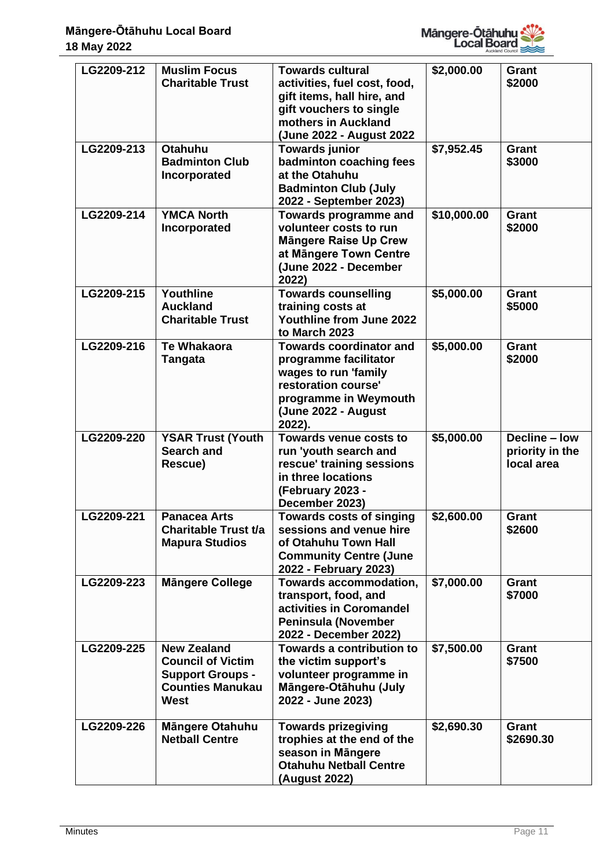

| LG2209-212 | <b>Muslim Focus</b>                                                                                                 | <b>Towards cultural</b>                                                                                                                                          | \$2,000.00  | Grant                                          |
|------------|---------------------------------------------------------------------------------------------------------------------|------------------------------------------------------------------------------------------------------------------------------------------------------------------|-------------|------------------------------------------------|
|            | <b>Charitable Trust</b>                                                                                             | activities, fuel cost, food,<br>gift items, hall hire, and<br>gift vouchers to single<br>mothers in Auckland<br>(June 2022 - August 2022                         |             | \$2000                                         |
| LG2209-213 | <b>Otahuhu</b><br><b>Badminton Club</b><br>Incorporated                                                             | <b>Towards junior</b><br>badminton coaching fees<br>at the Otahuhu<br><b>Badminton Club (July</b><br>2022 - September 2023)                                      | \$7,952.45  | Grant<br>\$3000                                |
| LG2209-214 | <b>YMCA North</b><br>Incorporated                                                                                   | Towards programme and<br>volunteer costs to run<br><b>Mängere Raise Up Crew</b><br>at Mängere Town Centre<br>(June 2022 - December<br>2022)                      | \$10,000.00 | Grant<br>\$2000                                |
| LG2209-215 | Youthline<br><b>Auckland</b><br><b>Charitable Trust</b>                                                             | <b>Towards counselling</b><br>training costs at<br>Youthline from June 2022<br>to March 2023                                                                     | \$5,000.00  | <b>Grant</b><br>\$5000                         |
| LG2209-216 | <b>Te Whakaora</b><br><b>Tangata</b>                                                                                | <b>Towards coordinator and</b><br>programme facilitator<br>wages to run 'family<br>restoration course'<br>programme in Weymouth<br>(June 2022 - August<br>2022). | \$5,000.00  | <b>Grant</b><br>\$2000                         |
| LG2209-220 | <b>YSAR Trust (Youth</b><br><b>Search and</b><br>Rescue)                                                            | Towards venue costs to<br>run 'youth search and<br>rescue' training sessions<br>in three locations<br>(February 2023 -<br>December 2023)                         | \$5,000.00  | Decline - low<br>priority in the<br>local area |
| LG2209-221 | <b>Panacea Arts</b><br>Charitable Trust t/a<br><b>Mapura Studios</b>                                                | <b>Towards costs of singing</b><br>sessions and venue hire<br>of Otahuhu Town Hall<br><b>Community Centre (June</b><br>2022 - February 2023)                     | \$2,600.00  | Grant<br>\$2600                                |
| LG2209-223 | <b>Mängere College</b>                                                                                              | <b>Towards accommodation,</b><br>transport, food, and<br>activities in Coromandel<br><b>Peninsula (November</b><br>2022 - December 2022)                         | \$7,000.00  | Grant<br>\$7000                                |
| LG2209-225 | <b>New Zealand</b><br><b>Council of Victim</b><br><b>Support Groups -</b><br><b>Counties Manukau</b><br><b>West</b> | <b>Towards a contribution to</b><br>the victim support's<br>volunteer programme in<br>Mängere-Otähuhu (July<br>2022 - June 2023)                                 | \$7,500.00  | Grant<br>\$7500                                |
| LG2209-226 | Mängere Otahuhu<br><b>Netball Centre</b>                                                                            | <b>Towards prizegiving</b><br>trophies at the end of the<br>season in Mängere<br><b>Otahuhu Netball Centre</b><br>(August 2022)                                  | \$2,690.30  | Grant<br>\$2690.30                             |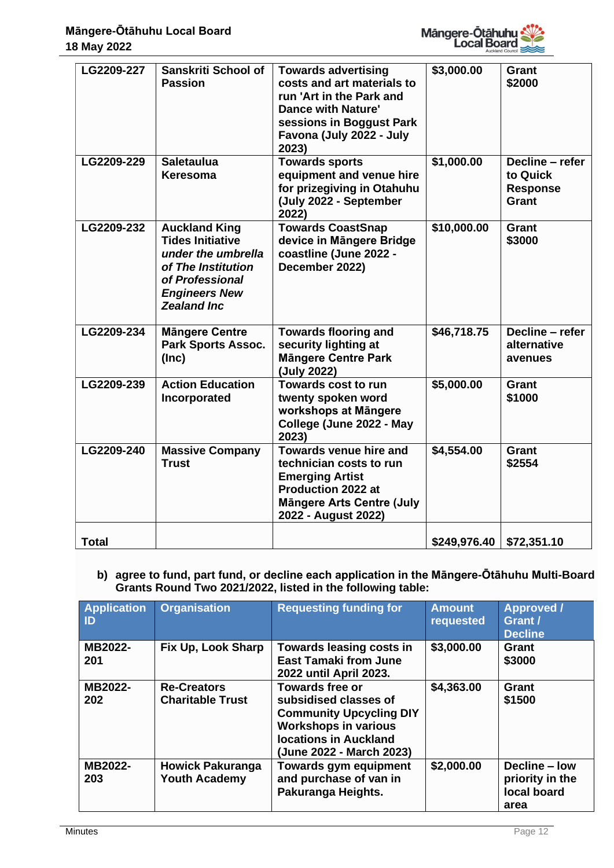

| LG2209-227   | Sanskriti School of<br><b>Passion</b>                                                                                                                        | <b>Towards advertising</b><br>costs and art materials to<br>run 'Art in the Park and<br><b>Dance with Nature'</b><br>sessions in Boggust Park<br>Favona (July 2022 - July<br>2023) | \$3,000.00   | <b>Grant</b><br>\$2000                                  |
|--------------|--------------------------------------------------------------------------------------------------------------------------------------------------------------|------------------------------------------------------------------------------------------------------------------------------------------------------------------------------------|--------------|---------------------------------------------------------|
| LG2209-229   | <b>Saletaulua</b><br>Keresoma                                                                                                                                | <b>Towards sports</b><br>equipment and venue hire<br>for prizegiving in Otahuhu<br>(July 2022 - September<br>2022)                                                                 | \$1,000.00   | Decline - refer<br>to Quick<br><b>Response</b><br>Grant |
| LG2209-232   | <b>Auckland King</b><br><b>Tides Initiative</b><br>under the umbrella<br>of The Institution<br>of Professional<br><b>Engineers New</b><br><b>Zealand Inc</b> | <b>Towards CoastSnap</b><br>device in Mängere Bridge<br>coastline (June 2022 -<br>December 2022)                                                                                   | \$10,000.00  | Grant<br>\$3000                                         |
| LG2209-234   | <b>Mängere Centre</b><br><b>Park Sports Assoc.</b><br>(Inc)                                                                                                  | <b>Towards flooring and</b><br>security lighting at<br><b>Mängere Centre Park</b><br>(July 2022)                                                                                   | \$46,718.75  | Decline - refer<br>alternative<br>avenues               |
| LG2209-239   | <b>Action Education</b><br>Incorporated                                                                                                                      | <b>Towards cost to run</b><br>twenty spoken word<br>workshops at Mängere<br>College (June 2022 - May<br>2023)                                                                      | \$5,000.00   | <b>Grant</b><br>\$1000                                  |
| LG2209-240   | <b>Massive Company</b><br><b>Trust</b>                                                                                                                       | Towards venue hire and<br>technician costs to run<br><b>Emerging Artist</b><br><b>Production 2022 at</b><br><b>Mängere Arts Centre (July</b><br>2022 - August 2022)                | \$4,554.00   | Grant<br>\$2554                                         |
| <b>Total</b> |                                                                                                                                                              |                                                                                                                                                                                    | \$249,976.40 | \$72,351.10                                             |

# **b) agree to fund, part fund, or decline each application in the Māngere-Ōtāhuhu Multi-Board Grants Round Two 2021/2022, listed in the following table:**

| <b>Application</b><br>ID | <b>Organisation</b>                             | <b>Requesting funding for</b>                                                                                                                                                | <b>Amount</b><br>requested | <b>Approved /</b><br>Grant /<br><b>Decline</b>          |
|--------------------------|-------------------------------------------------|------------------------------------------------------------------------------------------------------------------------------------------------------------------------------|----------------------------|---------------------------------------------------------|
| MB2022-<br>201           | Fix Up, Look Sharp                              | Towards leasing costs in<br><b>East Tamaki from June</b><br>2022 until April 2023.                                                                                           | \$3,000.00                 | Grant<br>\$3000                                         |
| MB2022-<br>202           | <b>Re-Creators</b><br><b>Charitable Trust</b>   | <b>Towards free or</b><br>subsidised classes of<br><b>Community Upcycling DIY</b><br><b>Workshops in various</b><br><b>locations in Auckland</b><br>(June 2022 - March 2023) | \$4,363.00                 | Grant<br>\$1500                                         |
| MB2022-<br>203           | <b>Howick Pakuranga</b><br><b>Youth Academy</b> | <b>Towards gym equipment</b><br>and purchase of van in<br>Pakuranga Heights.                                                                                                 | \$2,000.00                 | Decline – low<br>priority in the<br>local board<br>area |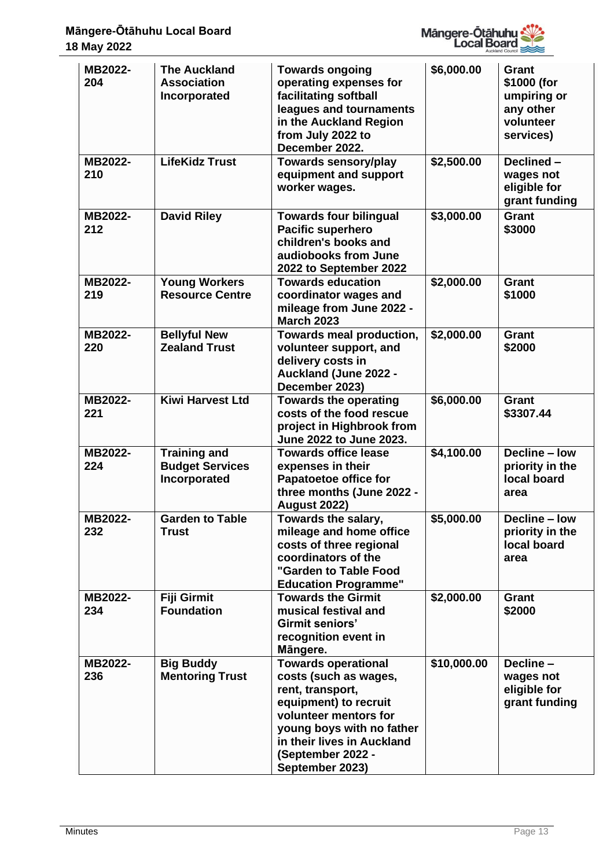

| MB2022-<br>204 | <b>The Auckland</b><br><b>Association</b><br>Incorporated     | <b>Towards ongoing</b><br>operating expenses for<br>facilitating softball<br>leagues and tournaments<br>in the Auckland Region<br>from July 2022 to<br>December 2022.                                                        | \$6,000.00  | Grant<br>\$1000 (for<br>umpiring or<br>any other<br>volunteer<br>services) |
|----------------|---------------------------------------------------------------|------------------------------------------------------------------------------------------------------------------------------------------------------------------------------------------------------------------------------|-------------|----------------------------------------------------------------------------|
| MB2022-<br>210 | <b>LifeKidz Trust</b>                                         | <b>Towards sensory/play</b><br>equipment and support<br>worker wages.                                                                                                                                                        | \$2,500.00  | Declined-<br>wages not<br>eligible for<br>grant funding                    |
| MB2022-<br>212 | <b>David Riley</b>                                            | <b>Towards four bilingual</b><br><b>Pacific superhero</b><br>children's books and<br>audiobooks from June<br>2022 to September 2022                                                                                          | \$3,000.00  | <b>Grant</b><br>\$3000                                                     |
| MB2022-<br>219 | <b>Young Workers</b><br><b>Resource Centre</b>                | <b>Towards education</b><br>coordinator wages and<br>mileage from June 2022 -<br><b>March 2023</b>                                                                                                                           | \$2,000.00  | <b>Grant</b><br>\$1000                                                     |
| MB2022-<br>220 | <b>Bellyful New</b><br><b>Zealand Trust</b>                   | Towards meal production,<br>volunteer support, and<br>delivery costs in<br><b>Auckland (June 2022 -</b><br>December 2023)                                                                                                    | \$2,000.00  | <b>Grant</b><br>\$2000                                                     |
| MB2022-<br>221 | <b>Kiwi Harvest Ltd</b>                                       | <b>Towards the operating</b><br>costs of the food rescue<br>project in Highbrook from<br>June 2022 to June 2023.                                                                                                             | \$6,000.00  | <b>Grant</b><br>\$3307.44                                                  |
| MB2022-<br>224 | <b>Training and</b><br><b>Budget Services</b><br>Incorporated | <b>Towards office lease</b><br>expenses in their<br><b>Papatoetoe office for</b><br>three months (June 2022 -<br><b>August 2022)</b>                                                                                         | \$4,100.00  | Decline - low<br>priority in the<br>local board<br>area                    |
| MB2022-<br>232 | <b>Garden to Table</b><br><b>Trust</b>                        | Towards the salary,<br>mileage and home office<br>costs of three regional<br>coordinators of the<br>"Garden to Table Food<br><b>Education Programme"</b>                                                                     | \$5,000.00  | Decline - low<br>priority in the<br>local board<br>area                    |
| MB2022-<br>234 | Fiji Girmit<br><b>Foundation</b>                              | <b>Towards the Girmit</b><br>musical festival and<br>Girmit seniors'<br>recognition event in<br>Mängere.                                                                                                                     | \$2,000.00  | Grant<br>\$2000                                                            |
| MB2022-<br>236 | <b>Big Buddy</b><br><b>Mentoring Trust</b>                    | <b>Towards operational</b><br>costs (such as wages,<br>rent, transport,<br>equipment) to recruit<br>volunteer mentors for<br>young boys with no father<br>in their lives in Auckland<br>(September 2022 -<br>September 2023) | \$10,000.00 | Decline-<br>wages not<br>eligible for<br>grant funding                     |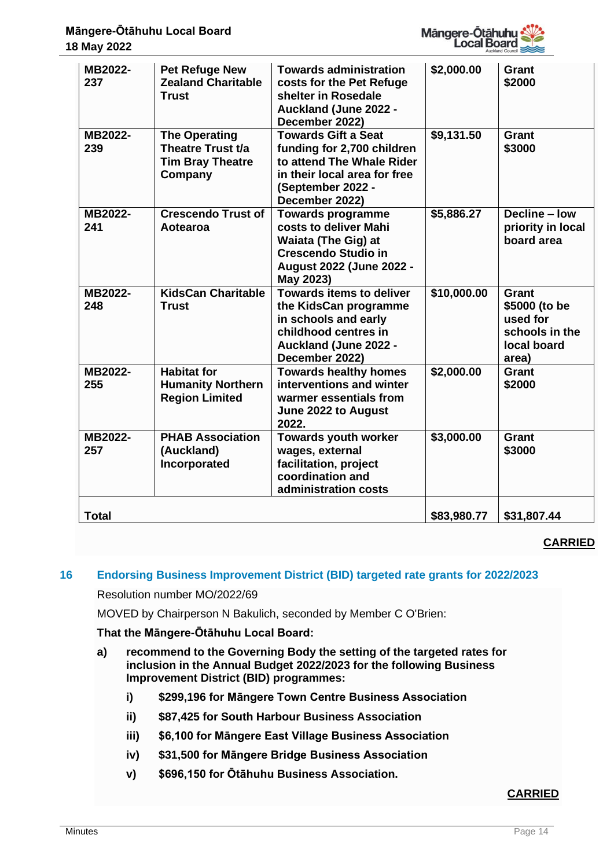

| MB2022-<br>237 | <b>Pet Refuge New</b><br><b>Zealand Charitable</b><br><b>Trust</b>              | <b>Towards administration</b><br>costs for the Pet Refuge<br>shelter in Rosedale<br><b>Auckland (June 2022 -</b><br>December 2022)                           | \$2,000.00  | Grant<br>\$2000                                                                     |
|----------------|---------------------------------------------------------------------------------|--------------------------------------------------------------------------------------------------------------------------------------------------------------|-------------|-------------------------------------------------------------------------------------|
| MB2022-<br>239 | <b>The Operating</b><br>Theatre Trust t/a<br><b>Tim Bray Theatre</b><br>Company | <b>Towards Gift a Seat</b><br>funding for 2,700 children<br>to attend The Whale Rider<br>in their local area for free<br>(September 2022 -<br>December 2022) | \$9,131.50  | <b>Grant</b><br>\$3000                                                              |
| MB2022-<br>241 | <b>Crescendo Trust of</b><br>Aotearoa                                           | <b>Towards programme</b><br>costs to deliver Mahi<br>Waiata (The Gig) at<br><b>Crescendo Studio in</b><br>August 2022 (June 2022 -<br>May 2023)              | \$5,886.27  | Decline - low<br>priority in local<br>board area                                    |
| MB2022-<br>248 | <b>KidsCan Charitable</b><br><b>Trust</b>                                       | <b>Towards items to deliver</b><br>the KidsCan programme<br>in schools and early<br>childhood centres in<br>Auckland (June 2022 -<br>December 2022)          | \$10,000.00 | <b>Grant</b><br>\$5000 (to be<br>used for<br>schools in the<br>local board<br>area) |
| MB2022-<br>255 | <b>Habitat for</b><br><b>Humanity Northern</b><br><b>Region Limited</b>         | <b>Towards healthy homes</b><br>interventions and winter<br>warmer essentials from<br>June 2022 to August<br>2022.                                           | \$2,000.00  | <b>Grant</b><br>\$2000                                                              |
| MB2022-<br>257 | <b>PHAB Association</b><br>(Auckland)<br>Incorporated                           | <b>Towards youth worker</b><br>wages, external<br>facilitation, project<br>coordination and<br>administration costs                                          | \$3,000.00  | <b>Grant</b><br>\$3000                                                              |
| <b>Total</b>   |                                                                                 |                                                                                                                                                              | \$83,980.77 | \$31,807.44                                                                         |

# **CARRIED**

# **16 Endorsing Business Improvement District (BID) targeted rate grants for 2022/2023**

Resolution number MO/2022/69

MOVED by Chairperson N Bakulich, seconded by Member C O'Brien:

#### **That the Māngere-Ōtāhuhu Local Board:**

- **a) recommend to the Governing Body the setting of the targeted rates for inclusion in the Annual Budget 2022/2023 for the following Business Improvement District (BID) programmes:**
	- **i) \$299,196 for Māngere Town Centre Business Association**
	- **ii) \$87,425 for South Harbour Business Association**
	- **iii) \$6,100 for Māngere East Village Business Association**
	- **iv) \$31,500 for Māngere Bridge Business Association**
	- **v) \$696,150 for Ōtāhuhu Business Association.**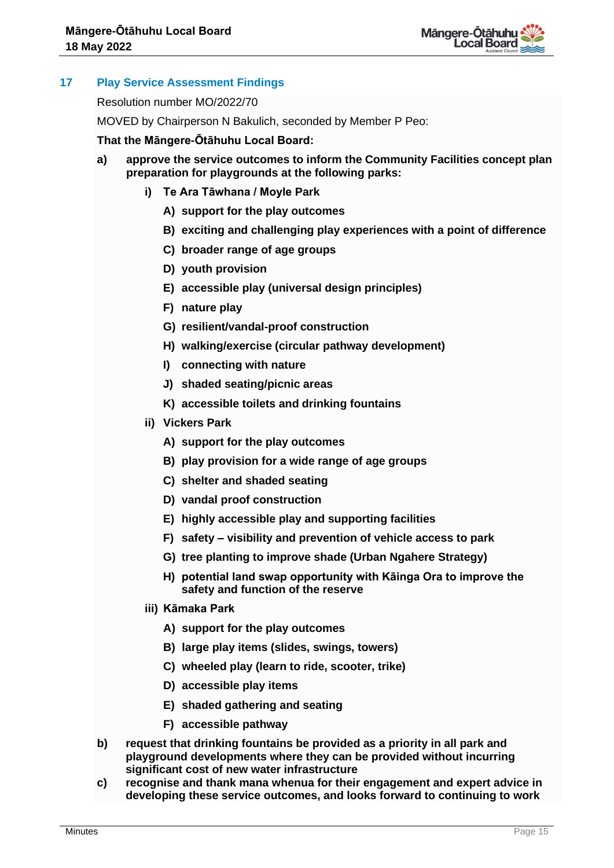

# **17 Play Service Assessment Findings**

Resolution number MO/2022/70

MOVED by Chairperson N Bakulich, seconded by Member P Peo:

## **That the Māngere-Ōtāhuhu Local Board:**

- **a) approve the service outcomes to inform the Community Facilities concept plan preparation for playgrounds at the following parks:**
	- **i) Te Ara Tāwhana / Moyle Park** 
		- **A) support for the play outcomes**
		- **B) exciting and challenging play experiences with a point of difference**
		- **C) broader range of age groups**
		- **D) youth provision**
		- **E) accessible play (universal design principles)**
		- **F) nature play**
		- **G) resilient/vandal-proof construction**
		- **H) walking/exercise (circular pathway development)**
		- **I) connecting with nature**
		- **J) shaded seating/picnic areas**
		- **K) accessible toilets and drinking fountains**
	- **ii) Vickers Park** 
		- **A) support for the play outcomes**
		- **B) play provision for a wide range of age groups**
		- **C) shelter and shaded seating**
		- **D) vandal proof construction**
		- **E) highly accessible play and supporting facilities**
		- **F) safety – visibility and prevention of vehicle access to park**
		- **G) tree planting to improve shade (Urban Ngahere Strategy)**
		- **H) potential land swap opportunity with Kāinga Ora to improve the safety and function of the reserve**
	- **iii) Kāmaka Park**
		- **A) support for the play outcomes**
		- **B) large play items (slides, swings, towers)**
		- **C) wheeled play (learn to ride, scooter, trike)**
		- **D) accessible play items**
		- **E) shaded gathering and seating**
		- **F) accessible pathway**
- **b) request that drinking fountains be provided as a priority in all park and playground developments where they can be provided without incurring significant cost of new water infrastructure**
- **c) recognise and thank mana whenua for their engagement and expert advice in developing these service outcomes, and looks forward to continuing to work**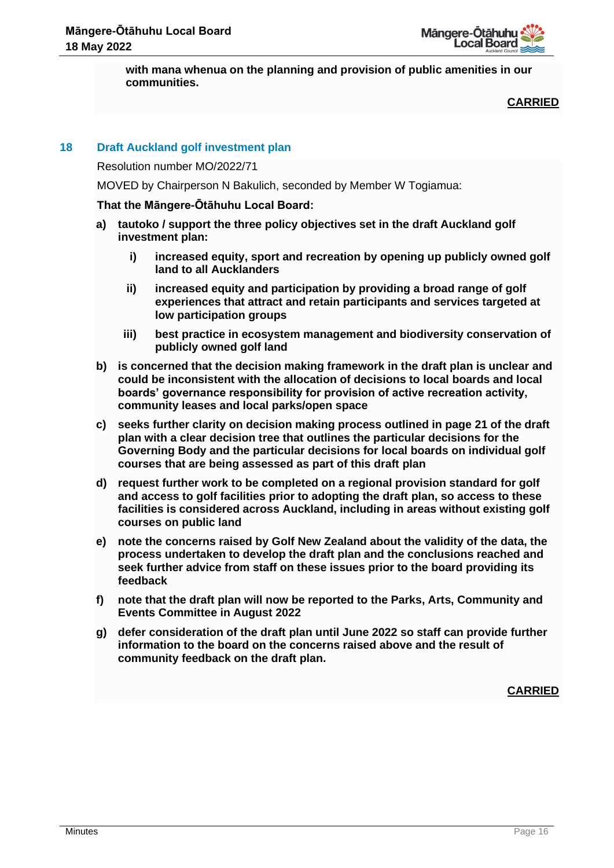**with mana whenua on the planning and provision of public amenities in our communities.**

**CARRIED**

# **18 Draft Auckland golf investment plan**

Resolution number MO/2022/71

MOVED by Chairperson N Bakulich, seconded by Member W Togiamua:

# **That the Māngere-Ōtāhuhu Local Board:**

- **a) tautoko / support the three policy objectives set in the draft Auckland golf investment plan:**
	- **i) increased equity, sport and recreation by opening up publicly owned golf land to all Aucklanders**
	- **ii) increased equity and participation by providing a broad range of golf experiences that attract and retain participants and services targeted at low participation groups**
	- **iii) best practice in ecosystem management and biodiversity conservation of publicly owned golf land**
- **b) is concerned that the decision making framework in the draft plan is unclear and could be inconsistent with the allocation of decisions to local boards and local boards' governance responsibility for provision of active recreation activity, community leases and local parks/open space**
- **c) seeks further clarity on decision making process outlined in page 21 of the draft plan with a clear decision tree that outlines the particular decisions for the Governing Body and the particular decisions for local boards on individual golf courses that are being assessed as part of this draft plan**
- **d) request further work to be completed on a regional provision standard for golf and access to golf facilities prior to adopting the draft plan, so access to these facilities is considered across Auckland, including in areas without existing golf courses on public land**
- **e) note the concerns raised by Golf New Zealand about the validity of the data, the process undertaken to develop the draft plan and the conclusions reached and seek further advice from staff on these issues prior to the board providing its feedback**
- **f) note that the draft plan will now be reported to the Parks, Arts, Community and Events Committee in August 2022**
- **g) defer consideration of the draft plan until June 2022 so staff can provide further information to the board on the concerns raised above and the result of community feedback on the draft plan.**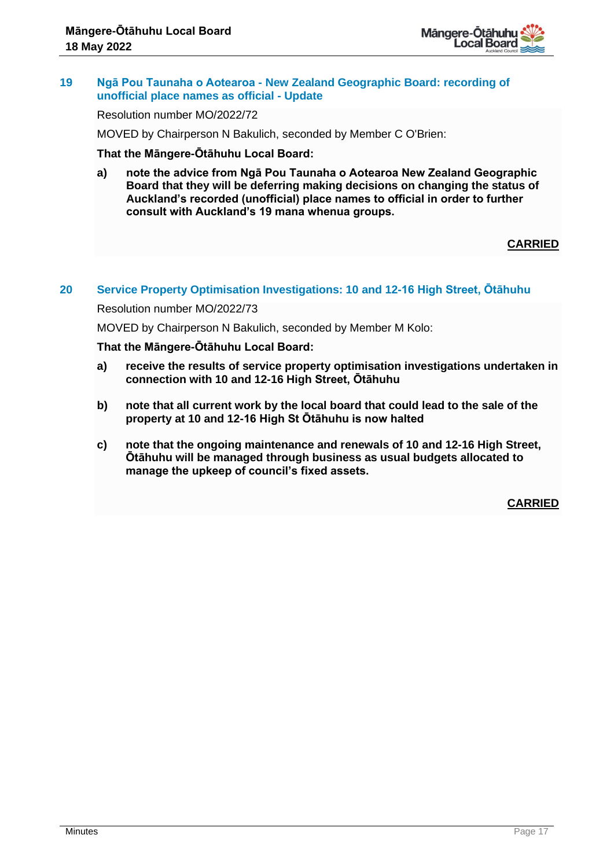

## **19 Ngā Pou Taunaha o Aotearoa - New Zealand Geographic Board: recording of unofficial place names as official - Update**

Resolution number MO/2022/72

MOVED by Chairperson N Bakulich, seconded by Member C O'Brien:

**That the Māngere-Ōtāhuhu Local Board:**

**a) note the advice from Ngā Pou Taunaha o Aotearoa New Zealand Geographic Board that they will be deferring making decisions on changing the status of Auckland's recorded (unofficial) place names to official in order to further consult with Auckland's 19 mana whenua groups.**

# **CARRIED**

## **20 Service Property Optimisation Investigations: 10 and 12-16 High Street, Ōtāhuhu**

Resolution number MO/2022/73

MOVED by Chairperson N Bakulich, seconded by Member M Kolo:

## **That the Māngere-Ōtāhuhu Local Board:**

- **a) receive the results of service property optimisation investigations undertaken in connection with 10 and 12-16 High Street, Ōtāhuhu**
- **b) note that all current work by the local board that could lead to the sale of the property at 10 and 12-16 High St Ōtāhuhu is now halted**
- **c) note that the ongoing maintenance and renewals of 10 and 12-16 High Street, Ōtāhuhu will be managed through business as usual budgets allocated to manage the upkeep of council's fixed assets.**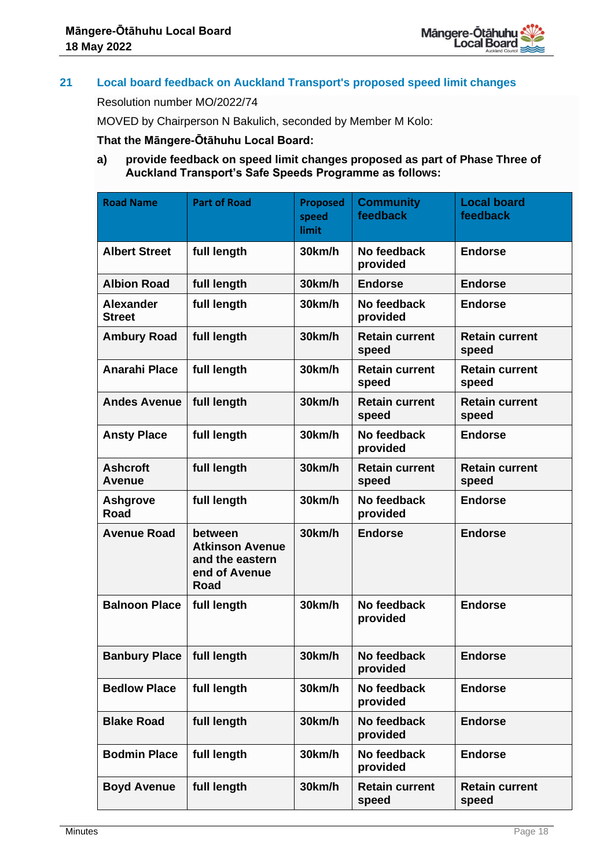

# **21 Local board feedback on Auckland Transport's proposed speed limit changes**

#### Resolution number MO/2022/74

MOVED by Chairperson N Bakulich, seconded by Member M Kolo:

# **That the Māngere-Ōtāhuhu Local Board:**

# **a) provide feedback on speed limit changes proposed as part of Phase Three of Auckland Transport's Safe Speeds Programme as follows:**

| <b>Road Name</b>                  | <b>Part of Road</b>                                                           | <b>Proposed</b><br>speed<br>limit | <b>Community</b><br>feedback   | <b>Local board</b><br>feedback |
|-----------------------------------|-------------------------------------------------------------------------------|-----------------------------------|--------------------------------|--------------------------------|
| <b>Albert Street</b>              | full length                                                                   | 30km/h                            | No feedback<br>provided        | <b>Endorse</b>                 |
| <b>Albion Road</b>                | full length                                                                   | 30km/h                            | <b>Endorse</b>                 | <b>Endorse</b>                 |
| <b>Alexander</b><br><b>Street</b> | full length                                                                   | 30km/h                            | No feedback<br>provided        | <b>Endorse</b>                 |
| <b>Ambury Road</b>                | full length                                                                   | 30km/h                            | <b>Retain current</b><br>speed | <b>Retain current</b><br>speed |
| <b>Anarahi Place</b>              | full length                                                                   | 30km/h                            | <b>Retain current</b><br>speed | <b>Retain current</b><br>speed |
| <b>Andes Avenue</b>               | full length                                                                   | 30km/h                            | <b>Retain current</b><br>speed | <b>Retain current</b><br>speed |
| <b>Ansty Place</b>                | full length                                                                   | 30km/h                            | No feedback<br>provided        | <b>Endorse</b>                 |
| <b>Ashcroft</b><br><b>Avenue</b>  | full length                                                                   | 30km/h                            | <b>Retain current</b><br>speed | <b>Retain current</b><br>speed |
| <b>Ashgrove</b><br>Road           | full length                                                                   | 30km/h                            | No feedback<br>provided        | <b>Endorse</b>                 |
| <b>Avenue Road</b>                | between<br><b>Atkinson Avenue</b><br>and the eastern<br>end of Avenue<br>Road | 30km/h                            | <b>Endorse</b>                 | <b>Endorse</b>                 |
| <b>Balnoon Place</b>              | full length                                                                   | 30km/h                            | No feedback<br>provided        | <b>Endorse</b>                 |
| Banbury Place   full length       |                                                                               | 30km/h                            | No feedback<br>provided        | <b>Endorse</b>                 |
| <b>Bedlow Place</b>               | full length                                                                   | 30km/h                            | No feedback<br>provided        | <b>Endorse</b>                 |
| <b>Blake Road</b>                 | full length                                                                   | 30km/h                            | No feedback<br>provided        | <b>Endorse</b>                 |
| <b>Bodmin Place</b>               | full length                                                                   | 30km/h                            | No feedback<br>provided        | <b>Endorse</b>                 |
| <b>Boyd Avenue</b>                | full length                                                                   | 30km/h                            | <b>Retain current</b><br>speed | <b>Retain current</b><br>speed |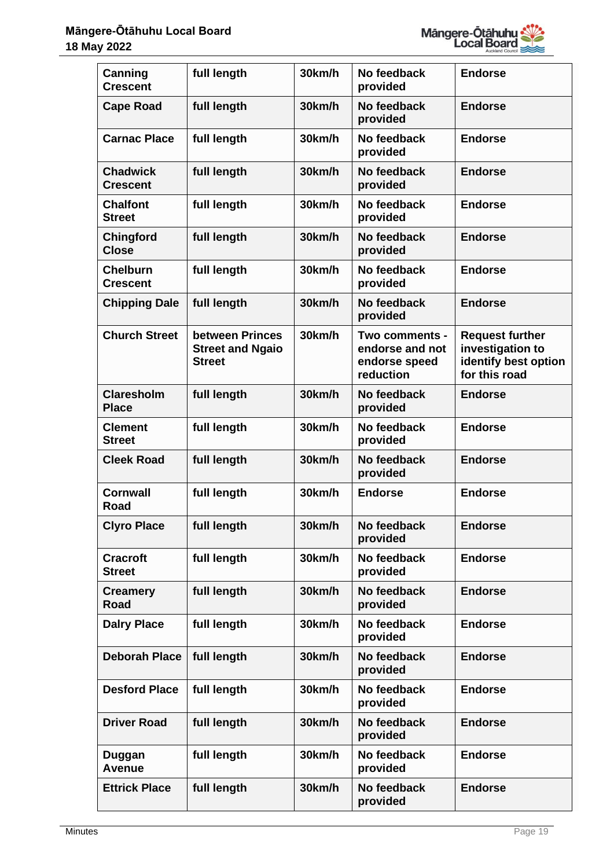

| <b>Canning</b><br><b>Crescent</b>  | full length                                                 | 30km/h | No feedback<br>provided                                         | <b>Endorse</b>                                                                      |
|------------------------------------|-------------------------------------------------------------|--------|-----------------------------------------------------------------|-------------------------------------------------------------------------------------|
| <b>Cape Road</b>                   | full length                                                 | 30km/h | No feedback<br>provided                                         | <b>Endorse</b>                                                                      |
| <b>Carnac Place</b>                | full length                                                 | 30km/h | No feedback<br>provided                                         | <b>Endorse</b>                                                                      |
| <b>Chadwick</b><br><b>Crescent</b> | full length                                                 | 30km/h | No feedback<br>provided                                         | <b>Endorse</b>                                                                      |
| <b>Chalfont</b><br><b>Street</b>   | full length                                                 | 30km/h | No feedback<br>provided                                         | <b>Endorse</b>                                                                      |
| <b>Chingford</b><br><b>Close</b>   | full length                                                 | 30km/h | No feedback<br>provided                                         | <b>Endorse</b>                                                                      |
| <b>Chelburn</b><br><b>Crescent</b> | full length                                                 | 30km/h | No feedback<br>provided                                         | <b>Endorse</b>                                                                      |
| <b>Chipping Dale</b>               | full length                                                 | 30km/h | No feedback<br>provided                                         | <b>Endorse</b>                                                                      |
| <b>Church Street</b>               | between Princes<br><b>Street and Ngaio</b><br><b>Street</b> | 30km/h | Two comments -<br>endorse and not<br>endorse speed<br>reduction | <b>Request further</b><br>investigation to<br>identify best option<br>for this road |
| <b>Claresholm</b><br><b>Place</b>  | full length                                                 | 30km/h | No feedback<br>provided                                         | <b>Endorse</b>                                                                      |
| <b>Clement</b><br><b>Street</b>    | full length                                                 | 30km/h | No feedback<br>provided                                         | <b>Endorse</b>                                                                      |
| <b>Cleek Road</b>                  | full length                                                 | 30km/h | No feedback<br>provided                                         | <b>Endorse</b>                                                                      |
| Cornwall<br>Road                   | full length                                                 | 30km/h | <b>Endorse</b>                                                  | <b>Endorse</b>                                                                      |
| <b>Clyro Place</b>                 | full length                                                 | 30km/h | No feedback<br>provided                                         | <b>Endorse</b>                                                                      |
| <b>Cracroft</b><br><b>Street</b>   | full length                                                 | 30km/h | No feedback<br>provided                                         | <b>Endorse</b>                                                                      |
| <b>Creamery</b><br><b>Road</b>     | full length                                                 | 30km/h | No feedback<br>provided                                         | <b>Endorse</b>                                                                      |
| <b>Dalry Place</b>                 | full length                                                 | 30km/h | No feedback<br>provided                                         | <b>Endorse</b>                                                                      |
| <b>Deborah Place</b>               | full length                                                 | 30km/h | No feedback<br>provided                                         | <b>Endorse</b>                                                                      |
| <b>Desford Place</b>               | full length                                                 | 30km/h | No feedback<br>provided                                         | <b>Endorse</b>                                                                      |
| <b>Driver Road</b>                 | full length                                                 | 30km/h | No feedback<br>provided                                         | <b>Endorse</b>                                                                      |
| Duggan<br>Avenue                   | full length                                                 | 30km/h | No feedback<br>provided                                         | <b>Endorse</b>                                                                      |
| <b>Ettrick Place</b>               | full length                                                 | 30km/h | No feedback<br>provided                                         | <b>Endorse</b>                                                                      |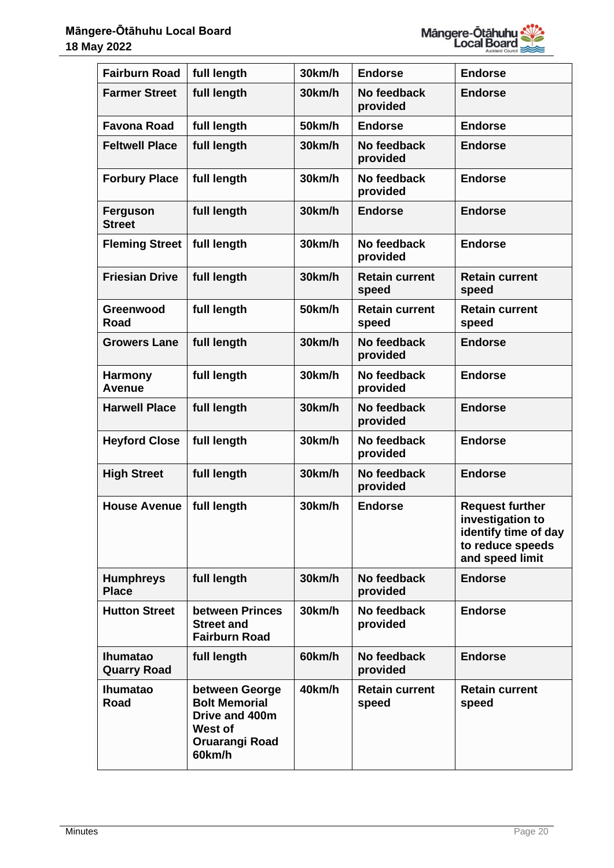

| <b>Fairburn Road</b>                  | full length                                                                                            | 30km/h | <b>Endorse</b>                 | <b>Endorse</b>                                                                                            |
|---------------------------------------|--------------------------------------------------------------------------------------------------------|--------|--------------------------------|-----------------------------------------------------------------------------------------------------------|
| <b>Farmer Street</b>                  | full length                                                                                            | 30km/h | No feedback<br>provided        | <b>Endorse</b>                                                                                            |
| <b>Favona Road</b>                    | full length                                                                                            | 50km/h | <b>Endorse</b>                 | <b>Endorse</b>                                                                                            |
| <b>Feltwell Place</b>                 | full length                                                                                            | 30km/h | No feedback<br>provided        | <b>Endorse</b>                                                                                            |
| <b>Forbury Place</b>                  | full length                                                                                            | 30km/h | No feedback<br>provided        | <b>Endorse</b>                                                                                            |
| Ferguson<br><b>Street</b>             | full length                                                                                            | 30km/h | <b>Endorse</b>                 | <b>Endorse</b>                                                                                            |
| <b>Fleming Street</b>                 | full length                                                                                            | 30km/h | No feedback<br>provided        | <b>Endorse</b>                                                                                            |
| <b>Friesian Drive</b>                 | full length                                                                                            | 30km/h | <b>Retain current</b><br>speed | <b>Retain current</b><br>speed                                                                            |
| Greenwood<br><b>Road</b>              | full length                                                                                            | 50km/h | <b>Retain current</b><br>speed | <b>Retain current</b><br>speed                                                                            |
| <b>Growers Lane</b>                   | full length                                                                                            | 30km/h | No feedback<br>provided        | <b>Endorse</b>                                                                                            |
| <b>Harmony</b><br><b>Avenue</b>       | full length                                                                                            | 30km/h | No feedback<br>provided        | <b>Endorse</b>                                                                                            |
| <b>Harwell Place</b>                  | full length                                                                                            | 30km/h | No feedback<br>provided        | <b>Endorse</b>                                                                                            |
| <b>Heyford Close</b>                  | full length                                                                                            | 30km/h | No feedback<br>provided        | <b>Endorse</b>                                                                                            |
| <b>High Street</b>                    | full length                                                                                            | 30km/h | No feedback<br>provided        | <b>Endorse</b>                                                                                            |
| <b>House Avenue</b>                   | full length                                                                                            | 30km/h | <b>Endorse</b>                 | <b>Request further</b><br>investigation to<br>identify time of day<br>to reduce speeds<br>and speed limit |
| <b>Humphreys</b><br><b>Place</b>      | full length                                                                                            | 30km/h | No feedback<br>provided        | <b>Endorse</b>                                                                                            |
| <b>Hutton Street</b>                  | between Princes<br><b>Street and</b><br><b>Fairburn Road</b>                                           | 30km/h | No feedback<br>provided        | <b>Endorse</b>                                                                                            |
| <b>Ihumatao</b><br><b>Quarry Road</b> | full length                                                                                            | 60km/h | No feedback<br>provided        | <b>Endorse</b>                                                                                            |
| <b>Ihumatao</b><br><b>Road</b>        | between George<br><b>Bolt Memorial</b><br>Drive and 400m<br>West of<br><b>Oruarangi Road</b><br>60km/h | 40km/h | <b>Retain current</b><br>speed | <b>Retain current</b><br>speed                                                                            |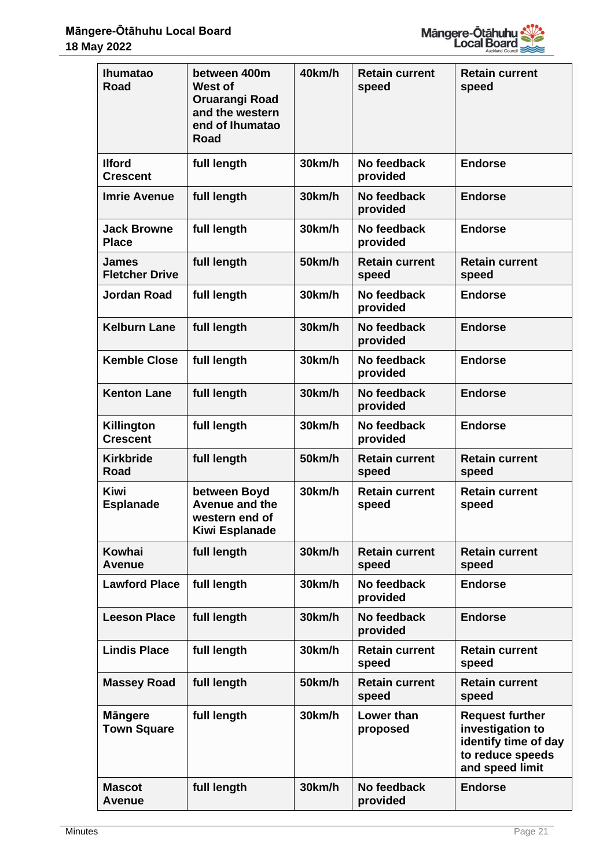

| <b>Ihumatao</b><br><b>Road</b>        | between 400m<br><b>West of</b><br><b>Oruarangi Road</b><br>and the western<br>end of Ihumatao<br>Road | 40km/h | <b>Retain current</b><br>speed | <b>Retain current</b><br>speed                                                                            |
|---------------------------------------|-------------------------------------------------------------------------------------------------------|--------|--------------------------------|-----------------------------------------------------------------------------------------------------------|
| <b>Ilford</b><br><b>Crescent</b>      | full length                                                                                           | 30km/h | No feedback<br>provided        | <b>Endorse</b>                                                                                            |
| <b>Imrie Avenue</b>                   | full length                                                                                           | 30km/h | No feedback<br>provided        | <b>Endorse</b>                                                                                            |
| <b>Jack Browne</b><br><b>Place</b>    | full length                                                                                           | 30km/h | No feedback<br>provided        | <b>Endorse</b>                                                                                            |
| <b>James</b><br><b>Fletcher Drive</b> | full length                                                                                           | 50km/h | <b>Retain current</b><br>speed | <b>Retain current</b><br>speed                                                                            |
| <b>Jordan Road</b>                    | full length                                                                                           | 30km/h | No feedback<br>provided        | <b>Endorse</b>                                                                                            |
| <b>Kelburn Lane</b>                   | full length                                                                                           | 30km/h | No feedback<br>provided        | <b>Endorse</b>                                                                                            |
| <b>Kemble Close</b>                   | full length                                                                                           | 30km/h | No feedback<br>provided        | <b>Endorse</b>                                                                                            |
| <b>Kenton Lane</b>                    | full length                                                                                           | 30km/h | No feedback<br>provided        | <b>Endorse</b>                                                                                            |
| Killington<br><b>Crescent</b>         | full length                                                                                           | 30km/h | No feedback<br>provided        | <b>Endorse</b>                                                                                            |
| <b>Kirkbride</b><br><b>Road</b>       | full length                                                                                           | 50km/h | <b>Retain current</b><br>speed | <b>Retain current</b><br>speed                                                                            |
| <b>Kiwi</b><br><b>Esplanade</b>       | between Boyd<br><b>Avenue and the</b><br>western end of<br>Kiwi Esplanade                             | 30km/h | <b>Retain current</b><br>speed | <b>Retain current</b><br>speed                                                                            |
| Kowhai<br>Avenue                      | full length                                                                                           | 30km/h | <b>Retain current</b><br>speed | <b>Retain current</b><br>speed                                                                            |
| <b>Lawford Place</b>                  | full length                                                                                           | 30km/h | No feedback<br>provided        | <b>Endorse</b>                                                                                            |
| <b>Leeson Place</b>                   | full length                                                                                           | 30km/h | No feedback<br>provided        | <b>Endorse</b>                                                                                            |
| <b>Lindis Place</b>                   | full length                                                                                           | 30km/h | <b>Retain current</b><br>speed | <b>Retain current</b><br>speed                                                                            |
| <b>Massey Road</b>                    | full length                                                                                           | 50km/h | <b>Retain current</b><br>speed | <b>Retain current</b><br>speed                                                                            |
| <b>Mängere</b><br><b>Town Square</b>  | full length                                                                                           | 30km/h | Lower than<br>proposed         | <b>Request further</b><br>investigation to<br>identify time of day<br>to reduce speeds<br>and speed limit |
| <b>Mascot</b><br><b>Avenue</b>        | full length                                                                                           | 30km/h | No feedback<br>provided        | <b>Endorse</b>                                                                                            |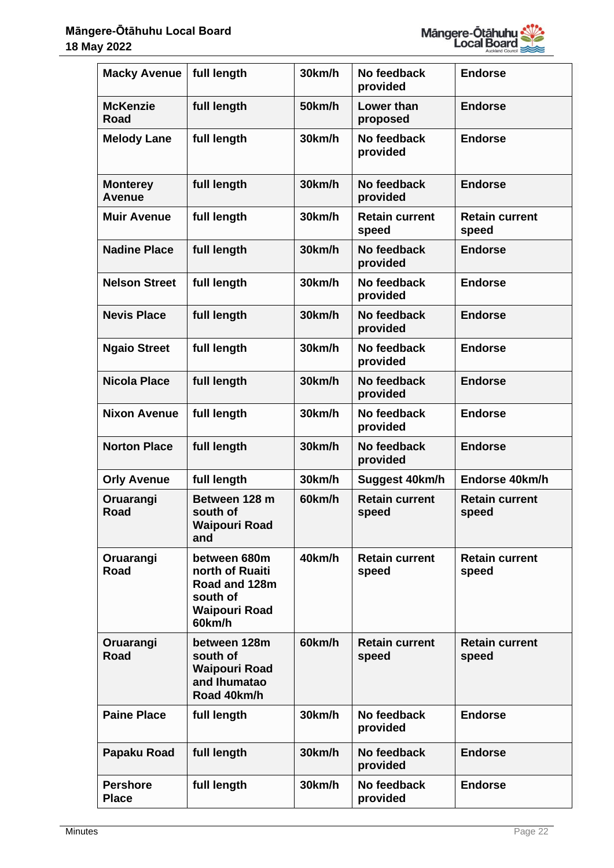

| <b>Macky Avenue</b>              | full length                                                                                    | 30km/h | No feedback<br>provided        | <b>Endorse</b>                 |
|----------------------------------|------------------------------------------------------------------------------------------------|--------|--------------------------------|--------------------------------|
| <b>McKenzie</b><br><b>Road</b>   | full length                                                                                    | 50km/h | Lower than<br>proposed         | <b>Endorse</b>                 |
| <b>Melody Lane</b>               | full length                                                                                    | 30km/h | No feedback<br>provided        | <b>Endorse</b>                 |
| <b>Monterey</b><br><b>Avenue</b> | full length                                                                                    | 30km/h | No feedback<br>provided        | <b>Endorse</b>                 |
| <b>Muir Avenue</b>               | full length                                                                                    | 30km/h | <b>Retain current</b><br>speed | <b>Retain current</b><br>speed |
| <b>Nadine Place</b>              | full length                                                                                    | 30km/h | No feedback<br>provided        | <b>Endorse</b>                 |
| <b>Nelson Street</b>             | full length                                                                                    | 30km/h | No feedback<br>provided        | <b>Endorse</b>                 |
| <b>Nevis Place</b>               | full length                                                                                    | 30km/h | No feedback<br>provided        | <b>Endorse</b>                 |
| <b>Ngaio Street</b>              | full length                                                                                    | 30km/h | No feedback<br>provided        | <b>Endorse</b>                 |
| <b>Nicola Place</b>              | full length                                                                                    | 30km/h | No feedback<br>provided        | <b>Endorse</b>                 |
| <b>Nixon Avenue</b>              | full length                                                                                    | 30km/h | No feedback<br>provided        | <b>Endorse</b>                 |
| <b>Norton Place</b>              | full length                                                                                    | 30km/h | No feedback<br>provided        | <b>Endorse</b>                 |
| <b>Orly Avenue</b>               | full length                                                                                    | 30km/h | Suggest 40km/h                 | Endorse 40km/h                 |
| Oruarangi<br><b>Road</b>         | Between 128 m<br>south of<br>Waipouri Road<br>and                                              | 60km/h | <b>Retain current</b><br>speed | <b>Retain current</b><br>speed |
| Oruarangi<br>Road                | between 680m<br>north of Ruaiti<br>Road and 128m<br>south of<br><b>Waipouri Road</b><br>60km/h | 40km/h | <b>Retain current</b><br>speed | <b>Retain current</b><br>speed |
| Oruarangi<br>Road                | between 128m<br>south of<br><b>Waipouri Road</b><br>and Ihumatao<br>Road 40km/h                | 60km/h | <b>Retain current</b><br>speed | <b>Retain current</b><br>speed |
| <b>Paine Place</b>               | full length                                                                                    | 30km/h | No feedback<br>provided        | <b>Endorse</b>                 |
| Papaku Road                      | full length                                                                                    | 30km/h | No feedback<br>provided        | <b>Endorse</b>                 |
| <b>Pershore</b><br><b>Place</b>  | full length                                                                                    | 30km/h | No feedback<br>provided        | <b>Endorse</b>                 |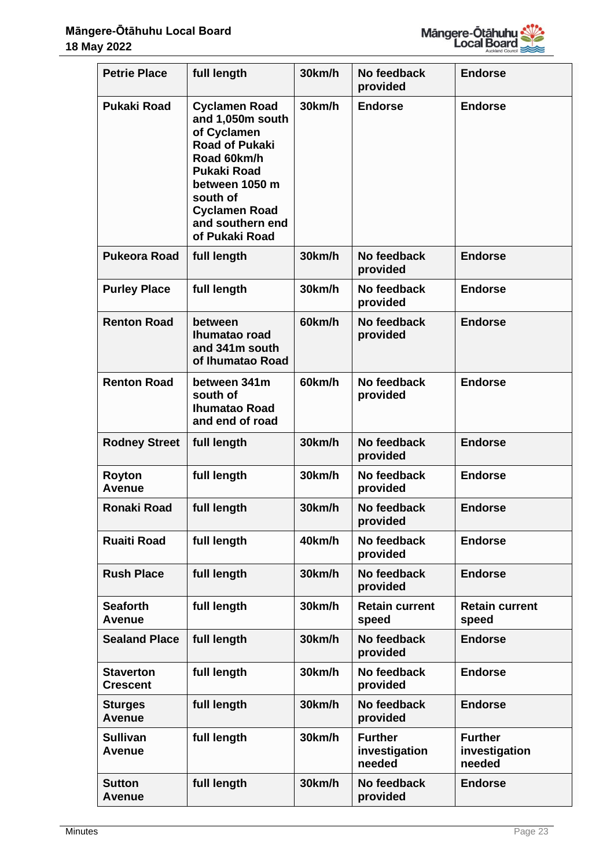

| <b>Petrie Place</b>                 | full length                                                                                                                                                                                                       | 30km/h | No feedback<br>provided                   | <b>Endorse</b>                            |
|-------------------------------------|-------------------------------------------------------------------------------------------------------------------------------------------------------------------------------------------------------------------|--------|-------------------------------------------|-------------------------------------------|
| <b>Pukaki Road</b>                  | <b>Cyclamen Road</b><br>and 1,050m south<br>of Cyclamen<br><b>Road of Pukaki</b><br>Road 60km/h<br><b>Pukaki Road</b><br>between 1050 m<br>south of<br><b>Cyclamen Road</b><br>and southern end<br>of Pukaki Road | 30km/h | <b>Endorse</b>                            | <b>Endorse</b>                            |
| <b>Pukeora Road</b>                 | full length                                                                                                                                                                                                       | 30km/h | No feedback<br>provided                   | <b>Endorse</b>                            |
| <b>Purley Place</b>                 | full length                                                                                                                                                                                                       | 30km/h | No feedback<br>provided                   | <b>Endorse</b>                            |
| <b>Renton Road</b>                  | between<br>Ihumatao road<br>and 341m south<br>of Ihumatao Road                                                                                                                                                    | 60km/h | No feedback<br>provided                   | <b>Endorse</b>                            |
| <b>Renton Road</b>                  | between 341m<br>south of<br><b>Ihumatao Road</b><br>and end of road                                                                                                                                               | 60km/h | No feedback<br>provided                   | <b>Endorse</b>                            |
| <b>Rodney Street</b>                | full length                                                                                                                                                                                                       | 30km/h | No feedback<br>provided                   | <b>Endorse</b>                            |
| <b>Royton</b><br><b>Avenue</b>      | full length                                                                                                                                                                                                       | 30km/h | No feedback<br>provided                   | <b>Endorse</b>                            |
| <b>Ronaki Road</b>                  | full length                                                                                                                                                                                                       | 30km/h | No feedback<br>provided                   | <b>Endorse</b>                            |
| <b>Ruaiti Road</b>                  | full length                                                                                                                                                                                                       | 40km/h | No feedback<br>provided                   | <b>Endorse</b>                            |
| <b>Rush Place</b>                   | full length                                                                                                                                                                                                       | 30km/h | No feedback<br>provided                   | <b>Endorse</b>                            |
| <b>Seaforth</b><br>Avenue           | full length                                                                                                                                                                                                       | 30km/h | <b>Retain current</b><br>speed            | <b>Retain current</b><br>speed            |
| <b>Sealand Place</b>                | full length                                                                                                                                                                                                       | 30km/h | No feedback<br>provided                   | <b>Endorse</b>                            |
| <b>Staverton</b><br><b>Crescent</b> | full length                                                                                                                                                                                                       | 30km/h | No feedback<br>provided                   | <b>Endorse</b>                            |
| <b>Sturges</b><br><b>Avenue</b>     | full length                                                                                                                                                                                                       | 30km/h | No feedback<br>provided                   | <b>Endorse</b>                            |
| <b>Sullivan</b><br><b>Avenue</b>    | full length                                                                                                                                                                                                       | 30km/h | <b>Further</b><br>investigation<br>needed | <b>Further</b><br>investigation<br>needed |
| <b>Sutton</b><br>Avenue             | full length                                                                                                                                                                                                       | 30km/h | No feedback<br>provided                   | <b>Endorse</b>                            |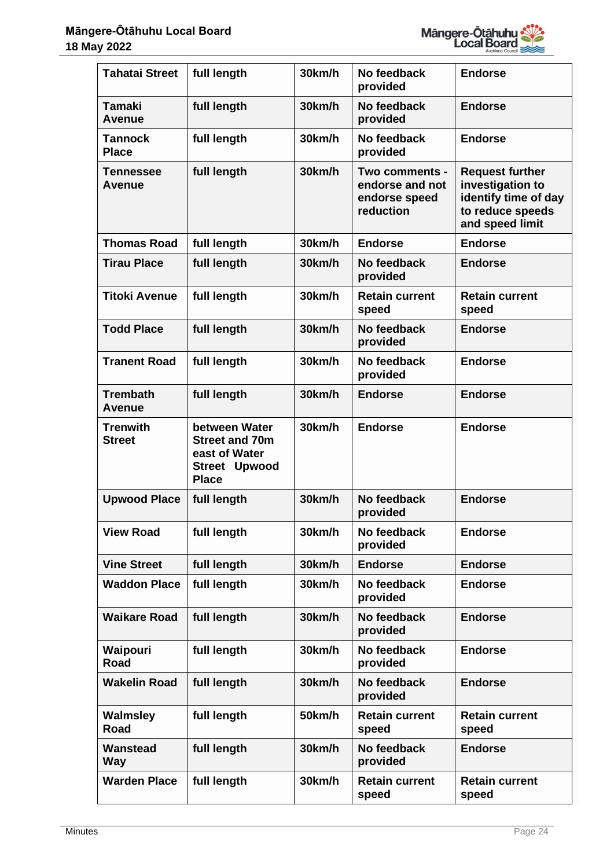

| <b>Tahatai Street</b>             | full length                                                                              | 30km/h | No feedback<br>provided                                         | <b>Endorse</b>                                                                                            |
|-----------------------------------|------------------------------------------------------------------------------------------|--------|-----------------------------------------------------------------|-----------------------------------------------------------------------------------------------------------|
| <b>Tamaki</b><br><b>Avenue</b>    | full length                                                                              | 30km/h | No feedback<br>provided                                         | <b>Endorse</b>                                                                                            |
| <b>Tannock</b><br><b>Place</b>    | full length                                                                              | 30km/h | No feedback<br>provided                                         | <b>Endorse</b>                                                                                            |
| <b>Tennessee</b><br><b>Avenue</b> | full length                                                                              | 30km/h | Two comments -<br>endorse and not<br>endorse speed<br>reduction | <b>Request further</b><br>investigation to<br>identify time of day<br>to reduce speeds<br>and speed limit |
| <b>Thomas Road</b>                | full length                                                                              | 30km/h | <b>Endorse</b>                                                  | <b>Endorse</b>                                                                                            |
| <b>Tirau Place</b>                | full length                                                                              | 30km/h | No feedback<br>provided                                         | <b>Endorse</b>                                                                                            |
| <b>Titoki Avenue</b>              | full length                                                                              | 30km/h | <b>Retain current</b><br>speed                                  | <b>Retain current</b><br>speed                                                                            |
| <b>Todd Place</b>                 | full length                                                                              | 30km/h | No feedback<br>provided                                         | <b>Endorse</b>                                                                                            |
| <b>Tranent Road</b>               | full length                                                                              | 30km/h | No feedback<br>provided                                         | <b>Endorse</b>                                                                                            |
| <b>Trembath</b><br><b>Avenue</b>  | full length                                                                              | 30km/h | <b>Endorse</b>                                                  | <b>Endorse</b>                                                                                            |
| <b>Trenwith</b><br><b>Street</b>  | between Water<br><b>Street and 70m</b><br>east of Water<br>Street Upwood<br><b>Place</b> | 30km/h | <b>Endorse</b>                                                  | <b>Endorse</b>                                                                                            |
| <b>Upwood Place</b>               | full length                                                                              | 30km/h | No feedback<br>provided                                         | <b>Endorse</b>                                                                                            |
| <b>View Road</b>                  | full length                                                                              | 30km/h | No feedback<br>provided                                         | <b>Endorse</b>                                                                                            |
| <b>Vine Street</b>                | full length                                                                              | 30km/h | <b>Endorse</b>                                                  | <b>Endorse</b>                                                                                            |
| <b>Waddon Place</b>               | full length                                                                              | 30km/h | No feedback<br>provided                                         | <b>Endorse</b>                                                                                            |
| <b>Waikare Road</b>               | full length                                                                              | 30km/h | No feedback<br>provided                                         | <b>Endorse</b>                                                                                            |
| Waipouri<br><b>Road</b>           | full length                                                                              | 30km/h | No feedback<br>provided                                         | <b>Endorse</b>                                                                                            |
| <b>Wakelin Road</b>               | full length                                                                              | 30km/h | No feedback<br>provided                                         | <b>Endorse</b>                                                                                            |
| <b>Walmsley</b><br>Road           | full length                                                                              | 50km/h | <b>Retain current</b><br>speed                                  | <b>Retain current</b><br>speed                                                                            |
| <b>Wanstead</b><br><b>Way</b>     | full length                                                                              | 30km/h | No feedback<br>provided                                         | <b>Endorse</b>                                                                                            |
| <b>Warden Place</b>               | full length                                                                              | 30km/h | <b>Retain current</b><br>speed                                  | <b>Retain current</b><br>speed                                                                            |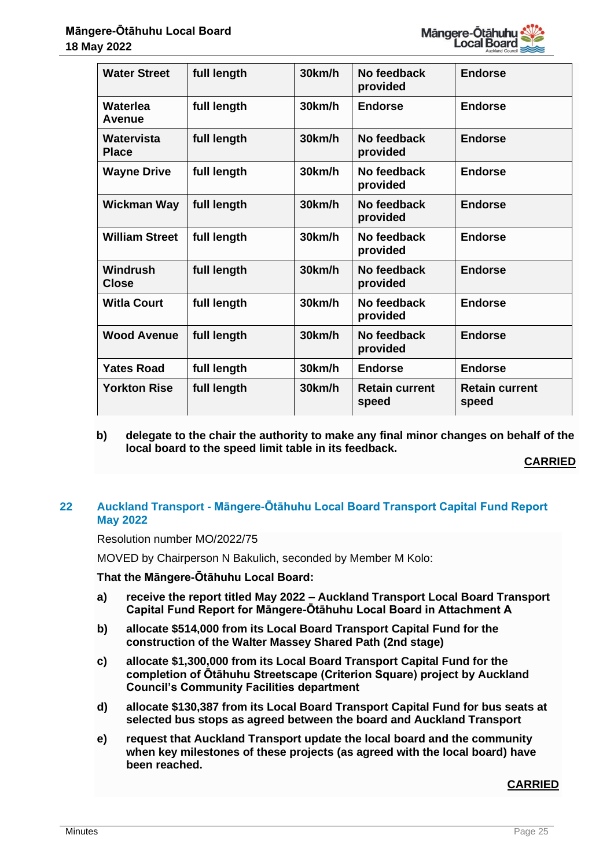

| <b>Water Street</b>        | full length | 30km/h | No feedback<br>provided        | <b>Endorse</b>                 |
|----------------------------|-------------|--------|--------------------------------|--------------------------------|
| Waterlea<br>Avenue         | full length | 30km/h | <b>Endorse</b>                 | <b>Endorse</b>                 |
| Watervista<br><b>Place</b> | full length | 30km/h | No feedback<br>provided        | <b>Endorse</b>                 |
| <b>Wayne Drive</b>         | full length | 30km/h | No feedback<br>provided        | <b>Endorse</b>                 |
| <b>Wickman Way</b>         | full length | 30km/h | No feedback<br>provided        | <b>Endorse</b>                 |
| <b>William Street</b>      | full length | 30km/h | No feedback<br>provided        | <b>Endorse</b>                 |
| Windrush<br><b>Close</b>   | full length | 30km/h | No feedback<br>provided        | <b>Endorse</b>                 |
| <b>Witla Court</b>         | full length | 30km/h | No feedback<br>provided        | <b>Endorse</b>                 |
| <b>Wood Avenue</b>         | full length | 30km/h | No feedback<br>provided        | <b>Endorse</b>                 |
| <b>Yates Road</b>          | full length | 30km/h | <b>Endorse</b>                 | <b>Endorse</b>                 |
| <b>Yorkton Rise</b>        | full length | 30km/h | <b>Retain current</b><br>speed | <b>Retain current</b><br>speed |

**b) delegate to the chair the authority to make any final minor changes on behalf of the local board to the speed limit table in its feedback.**

**CARRIED**

# **22 Auckland Transport - Māngere-Ōtāhuhu Local Board Transport Capital Fund Report May 2022**

Resolution number MO/2022/75

MOVED by Chairperson N Bakulich, seconded by Member M Kolo:

**That the Māngere-Ōtāhuhu Local Board:**

- **a) receive the report titled May 2022 – Auckland Transport Local Board Transport Capital Fund Report for Māngere-Ōtāhuhu Local Board in Attachment A**
- **b) allocate \$514,000 from its Local Board Transport Capital Fund for the construction of the Walter Massey Shared Path (2nd stage)**
- **c) allocate \$1,300,000 from its Local Board Transport Capital Fund for the completion of Ōtāhuhu Streetscape (Criterion Square) project by Auckland Council's Community Facilities department**
- **d) allocate \$130,387 from its Local Board Transport Capital Fund for bus seats at selected bus stops as agreed between the board and Auckland Transport**
- **e) request that Auckland Transport update the local board and the community when key milestones of these projects (as agreed with the local board) have been reached.**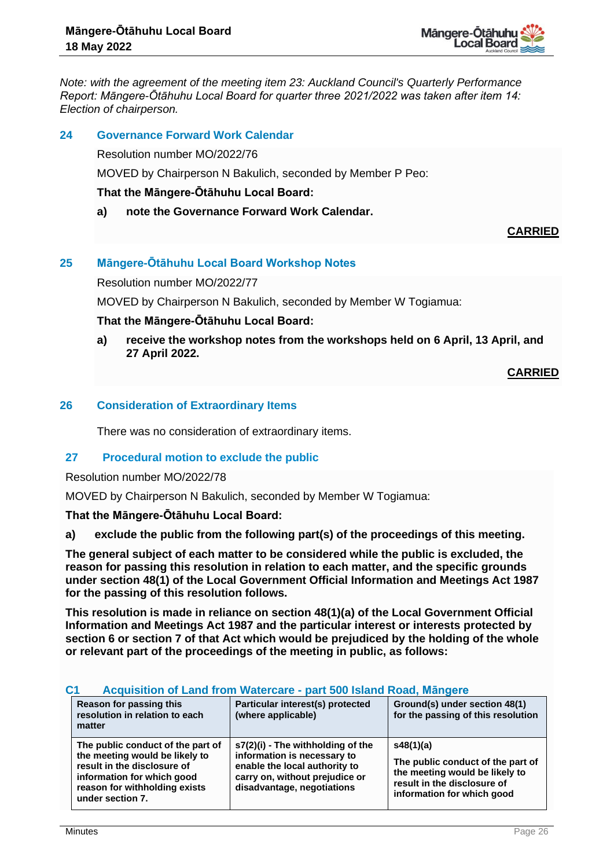

*Note: with the agreement of the meeting item 23: Auckland Council's Quarterly Performance Report: Māngere-Ōtāhuhu Local Board for quarter three 2021/2022 was taken after item 14: Election of chairperson.*

## **24 Governance Forward Work Calendar**

Resolution number MO/2022/76

MOVED by Chairperson N Bakulich, seconded by Member P Peo:

## **That the Māngere-Ōtāhuhu Local Board:**

**a) note the Governance Forward Work Calendar.**

**CARRIED**

# **25 Māngere-Ōtāhuhu Local Board Workshop Notes**

Resolution number MO/2022/77

MOVED by Chairperson N Bakulich, seconded by Member W Togiamua:

## **That the Māngere-Ōtāhuhu Local Board:**

**a) receive the workshop notes from the workshops held on 6 April, 13 April, and 27 April 2022.**

**CARRIED**

## **26 Consideration of Extraordinary Items**

There was no consideration of extraordinary items.

# **27 Procedural motion to exclude the public**

Resolution number MO/2022/78

MOVED by Chairperson N Bakulich, seconded by Member W Togiamua:

**That the Māngere-Ōtāhuhu Local Board:**

**a) exclude the public from the following part(s) of the proceedings of this meeting.**

**The general subject of each matter to be considered while the public is excluded, the reason for passing this resolution in relation to each matter, and the specific grounds under section 48(1) of the Local Government Official Information and Meetings Act 1987 for the passing of this resolution follows.**

**This resolution is made in reliance on section 48(1)(a) of the Local Government Official Information and Meetings Act 1987 and the particular interest or interests protected by section 6 or section 7 of that Act which would be prejudiced by the holding of the whole or relevant part of the proceedings of the meeting in public, as follows:**

# **C1 Acquisition of Land from Watercare - part 500 Island Road, Māngere**

| Reason for passing this<br>resolution in relation to each<br>matter                                                                                                                   | Particular interest(s) protected<br>(where applicable)                                                                                                            | Ground(s) under section 48(1)<br>for the passing of this resolution                                                                           |
|---------------------------------------------------------------------------------------------------------------------------------------------------------------------------------------|-------------------------------------------------------------------------------------------------------------------------------------------------------------------|-----------------------------------------------------------------------------------------------------------------------------------------------|
| The public conduct of the part of<br>the meeting would be likely to<br>result in the disclosure of<br>information for which good<br>reason for withholding exists<br>under section 7. | s7(2)(i) - The withholding of the<br>information is necessary to<br>enable the local authority to<br>carry on, without prejudice or<br>disadvantage, negotiations | s48(1)(a)<br>The public conduct of the part of<br>the meeting would be likely to<br>result in the disclosure of<br>information for which good |